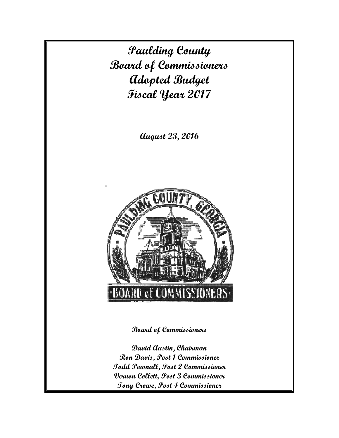**Paulding County Board of Commissioners Adopted Budget Fiscal Year 2017** 

**August 23, 2016** 



**Board of Commissioners** 

**David Austin, Chairman Ron Davis, Post 1 Commissioner Todd Pownall, Post 2 Commissioner Vernon Collett, Post 3 Commissioner Tony Crowe, Post 4 Commissioner**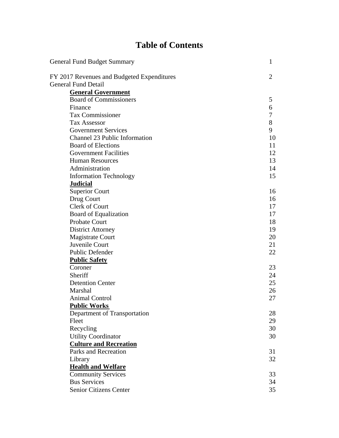# **Table of Contents**

| <b>General Fund Budget Summary</b>         | 1              |
|--------------------------------------------|----------------|
| FY 2017 Revenues and Budgeted Expenditures | $\overline{2}$ |
| <b>General Fund Detail</b>                 |                |
| <b>General Government</b>                  |                |
| <b>Board of Commissioners</b>              | 5              |
| Finance                                    | 6              |
| Tax Commissioner                           | 7              |
| <b>Tax Assessor</b>                        | 8              |
| <b>Government Services</b>                 | 9              |
| <b>Channel 23 Public Information</b>       | 10             |
| <b>Board of Elections</b>                  | 11             |
| <b>Government Facilities</b>               | 12             |
| <b>Human Resources</b>                     | 13             |
| Administration                             | 14             |
| <b>Information Technology</b>              | 15             |
| <b>Judicial</b>                            |                |
| <b>Superior Court</b>                      | 16             |
| Drug Court                                 | 16             |
| Clerk of Court                             | 17             |
| Board of Equalization                      | 17             |
| <b>Probate Court</b>                       | 18             |
| <b>District Attorney</b>                   | 19             |
| <b>Magistrate Court</b>                    | 20             |
| Juvenile Court                             | 21             |
| Public Defender                            | 22             |
| <b>Public Safety</b>                       |                |
| Coroner                                    | 23             |
| Sheriff                                    | 24             |
| <b>Detention Center</b>                    | 25             |
| Marshal                                    | 26             |
| <b>Animal Control</b>                      | 27             |
| <b>Public Works</b>                        |                |
| Department of Transportation               | 28             |
| Fleet                                      | 29             |
| Recycling                                  | 30             |
| <b>Utility Coordinator</b>                 | 30             |
| <b>Culture and Recreation</b>              |                |
| <b>Parks and Recreation</b>                | 31             |
| Library                                    | 32             |
| <b>Health and Welfare</b>                  |                |
| <b>Community Services</b>                  | 33             |
| <b>Bus Services</b>                        | 34             |
| <b>Senior Citizens Center</b>              | 35             |
|                                            |                |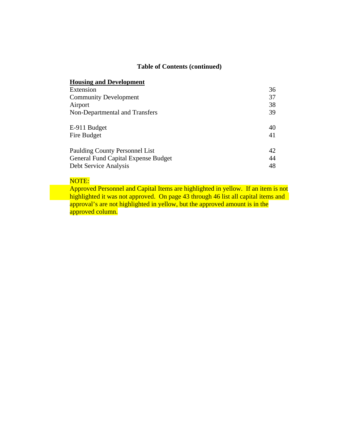## **Table of Contents (continued)**

## **Housing and Development**  Extension 36 Community Development 37 Airport 38 Non-Departmental and Transfers 39 E-911 Budget 40 Fire Budget 41 Paulding County Personnel List 42 General Fund Capital Expense Budget 44 Debt Service Analysis 48

## NOTE:

 Approved Personnel and Capital Items are highlighted in yellow. If an item is not highlighted it was not approved. On page 43 through 46 list all capital items and approval's are not highlighted in yellow, but the approved amount is in the approved column.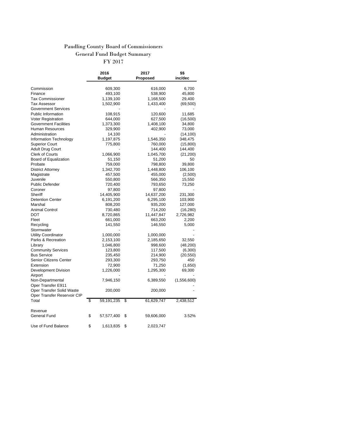## Paudling County Board of Commissioners General Fund Budget Summary

FY 2017

|                              | 2016             | 2017             | \$\$        |
|------------------------------|------------------|------------------|-------------|
|                              | <b>Budget</b>    | Proposed         | inc/dec     |
|                              |                  |                  |             |
| Commission                   | 609,300          | 616,000          | 6,700       |
| Finance                      | 493,100          | 538,900          | 45,800      |
| Tax Commissioner             | 1,139,100        | 1,168,500        | 29,400      |
| Tax Assessor                 | 1,502,900        | 1,433,400        | (69, 500)   |
| <b>Government Services</b>   |                  |                  |             |
| Public Information           | 108,915          | 120,600          | 11,685      |
| Voter Registration           | 644,000          | 627,500          | (16, 500)   |
| <b>Government Facilities</b> | 1,373,300        | 1,408,100        | 34,800      |
| <b>Human Resources</b>       | 329,900          | 402,900          | 73,000      |
| Administration               | 14,100           |                  | (14, 100)   |
| Information Technology       | 1,197,875        | 1,546,350        | 348,475     |
| <b>Superior Court</b>        | 775,800          | 760,000          | (15,800)    |
| <b>Adult Drug Court</b>      |                  | 144,400          | 144,400     |
| <b>Clerk of Courts</b>       | 1,066,900        | 1,045,700        | (21, 200)   |
| Board of Equalization        | 51,150           | 51,200           | 50          |
| Probate                      | 759,000          | 798,800          | 39,800      |
| <b>District Attorney</b>     | 1,342,700        | 1,448,800        | 106,100     |
| Magistrate                   | 457,500          | 455,000          | (2,500)     |
| Juvenile                     | 550,800          | 566,350          | 15,550      |
| <b>Public Defender</b>       | 720,400          | 793,650          | 73,250      |
| Coroner                      | 97,800           | 97,800           |             |
| Sheriff                      | 14,405,900       | 14,637,200       | 231,300     |
| <b>Detention Center</b>      | 6,191,200        | 6,295,100        | 103,900     |
| Marshal                      | 808,200          | 935,200          | 127,000     |
| <b>Animal Control</b>        | 730,480          | 714,200          | (16, 280)   |
| DOT                          | 8,720,865        | 11,447,847       | 2,726,982   |
| Fleet                        | 661,000          | 663,200          | 2,200       |
| Recycling                    | 141,550          | 146,550          | 5,000       |
| Stormwater                   |                  |                  |             |
| Utility Coordinator          | 1,000,000        | 1,000,000        |             |
| Parks & Recreation           | 2,153,100        | 2,185,650        | 32,550      |
| Library                      | 1,046,800        | 998,600          | (48, 200)   |
| <b>Community Services</b>    | 123,800          | 117,500          | (6,300)     |
| <b>Bus Service</b>           | 235,450          | 214,900          | (20, 550)   |
| Senior Citizens Center       | 293,300          | 293,750          | 450         |
| Extension                    |                  |                  |             |
|                              | 72,900           | 71,250           | (1,650)     |
| Development Division         | 1,226,000        | 1,295,300        | 69,300      |
| Airport                      |                  |                  |             |
| Non-Departmental             | 7,946,150        | 6,389,550        | (1,556,600) |
| Oper Transfer E911           |                  |                  |             |
| Oper Transfer Solid Waste    | 200,000          | 200,000          |             |
| Oper Transfer Reservoir CIP  |                  |                  |             |
| Total                        | \$<br>59,191,235 | \$<br>61,629,747 | 2,438,512   |
| Revenue                      |                  |                  |             |
| General Fund                 | \$<br>57,577,400 | \$<br>59,606,000 | 3.52%       |
| Use of Fund Balance          | \$<br>1,613,835  | \$<br>2,023,747  |             |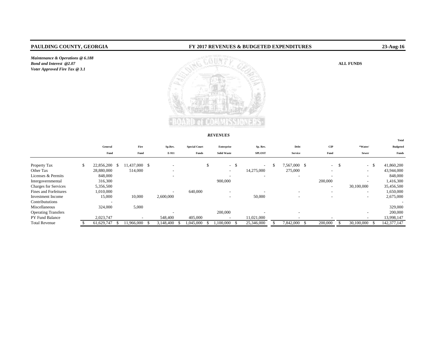*Maintenance & Operations @ 6.188 Bond and Interest @2.07Voter Approved Fire Tax @ 3.1*

#### **PAULDING COUNTY, GEORGIA FY 2017 REVENUES & BUDGETED EXPENDITURES 23-Aug-16**



#### *REVENUES*

|                             |                          |    |                          |                          |                      |    |                          |              |               |                          |                          |      |                          | Total           |
|-----------------------------|--------------------------|----|--------------------------|--------------------------|----------------------|----|--------------------------|--------------|---------------|--------------------------|--------------------------|------|--------------------------|-----------------|
|                             | General                  |    | Fire                     | Sp.Rev.                  | <b>Special Court</b> |    | Enterprise               |              | Sp. Rev.      | Debt                     | CIP                      |      | *Water/                  | <b>Budgeted</b> |
|                             | Fund                     |    | Fund                     | E-911                    | Funds                |    | <b>Solid Waste</b>       |              | <b>SPLOST</b> | <b>Service</b>           | Fund                     |      | Sewer                    | Funds           |
| Property Tax                | \$<br>22,856,200         | -8 | 11,437,000 \$            | $\overline{\phantom{0}}$ |                      | \$ | $\sim$                   | $\mathbf{s}$ | $\sim$        | 7,567,000 \$             | $\sim$                   | - \$ | -S<br>$\sim$             | 41,860,200      |
| Other Tax                   | 28,880,000               |    | 514,000                  | $\overline{\phantom{a}}$ |                      |    | $\overline{\phantom{a}}$ |              | 14,275,000    | 275,000                  | $\overline{\phantom{a}}$ |      | $\overline{\phantom{a}}$ | 43,944,000      |
| Licenses & Permits          | 848,000                  |    |                          | $\overline{\phantom{0}}$ |                      |    |                          |              |               |                          | $\overline{\phantom{0}}$ |      | $\overline{\phantom{a}}$ | 848,000         |
| Intergovernmental           | 316,300                  |    |                          |                          |                      |    | 900,000                  |              |               |                          | 200,000                  |      | $\overline{\phantom{a}}$ | 1,416,300       |
| <b>Charges for Services</b> | 5,356,500                |    |                          |                          |                      |    |                          |              |               |                          | $\overline{\phantom{0}}$ |      | 30,100,000               | 35,456,500      |
| Fines and Forfeitures       | 1,010,000                |    |                          | $\overline{\phantom{a}}$ | 640,000              |    |                          |              |               |                          | $\overline{\phantom{a}}$ |      | $\overline{\phantom{0}}$ | 1,650,000       |
| Investment Income           | 15,000                   |    | 10,000                   | 2,600,000                |                      |    | $\overline{\phantom{a}}$ |              | 50,000        |                          | $\overline{\phantom{a}}$ |      | $\overline{\phantom{a}}$ | 2,675,000       |
| Contribututions             | $\overline{\phantom{0}}$ |    |                          |                          |                      |    |                          |              |               |                          |                          |      |                          |                 |
| Miscellaneous               | 324,000                  |    | 5,000                    |                          |                      |    |                          |              |               |                          |                          |      |                          | 329,000         |
| <b>Operating Transfers</b>  |                          |    |                          |                          |                      |    | 200,000                  |              |               | $\overline{\phantom{a}}$ |                          |      | $\overline{\phantom{a}}$ | 200,000         |
| PY Fund Balance             | 2,023,747                |    | $\overline{\phantom{a}}$ | 548,400                  | 405,000              |    |                          |              | 11,021,000    |                          |                          |      | $\overline{\phantom{a}}$ | 13,998,147      |
| <b>Total Revenue</b>        | 61,629,747               |    | 11.966.000               | 3.148.400                | .045.000             |    | .100.000                 |              | 25,346,000    | 7,842,000                | 200,000                  |      | 30,100,000               | 142, 377, 147   |

ALL FUNDS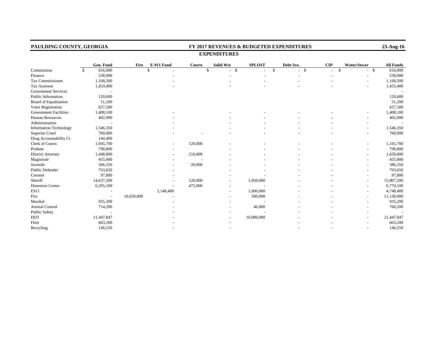| PAULDING COUNTY, GEORGIA      |              |                          |            |               |               |                        |               | FY 2017 REVENUES & BUDGETED EXPENDITURES |                          |             | 23-Aug-16        |
|-------------------------------|--------------|--------------------------|------------|---------------|---------------|------------------------|---------------|------------------------------------------|--------------------------|-------------|------------------|
|                               |              |                          |            |               |               | <b>EXPENDITURES</b>    |               |                                          |                          |             |                  |
|                               |              | Gen. Fund                | Fire       | E-911 Fund    | <b>Courts</b> | <b>Solid Wst</b>       | <b>SPLOST</b> | Debt Sve.                                | CIP                      | Water/Sewer | <b>All Funds</b> |
| Commission                    | $\mathbf{s}$ | 616,000                  |            | $\mathcal{S}$ |               | $\mathbb{S}$<br>$-$ \$ | $\mathbf{\$}$ | $-$ \$                                   | $\mathbf{\hat{S}}$<br>L. | $-$ \$      | 616,000          |
| Finance                       |              | 538,900                  |            |               |               |                        |               |                                          |                          |             | 538,900          |
| <b>Tax Commissioner</b>       |              | 1,168,500                |            |               |               |                        |               |                                          |                          |             | 1,168,500        |
| Tax Assessor                  |              | 1,433,400                |            |               |               |                        |               |                                          |                          |             | 1,433,400        |
| <b>Government Services</b>    |              |                          |            |               |               |                        |               |                                          |                          |             |                  |
| Public Information            |              | 120,600                  |            |               |               |                        |               |                                          |                          |             | 120,600          |
| Board of Equalization         |              | 51,200                   |            |               |               |                        |               |                                          |                          |             | 51,200           |
| Voter Registration            |              | 627,500                  |            |               |               |                        |               |                                          |                          |             | 627,500          |
| <b>Government Facilities</b>  |              | 1,408,100                |            |               |               |                        |               |                                          |                          |             | 1,408,100        |
| Human Resources               |              | 402,900                  |            |               |               |                        |               |                                          |                          |             | 402,900          |
| Administration                |              |                          |            |               |               |                        |               |                                          |                          |             |                  |
| <b>Information Technology</b> |              | 1,546,350                |            |               |               |                        |               |                                          |                          |             | 1,546,350        |
| <b>Superior Court</b>         |              | 760,000                  |            |               |               |                        |               |                                          |                          |             | 760,000          |
| Drug Accountability Ct        |              | 144,400                  |            |               |               |                        |               |                                          |                          |             |                  |
| Clerk of Courts               |              | 1,045,700                |            |               | 120,000       |                        |               |                                          |                          |             | 1,165,700        |
| Probate                       |              | 798,800                  |            |               |               |                        |               |                                          |                          |             | 798,800          |
| <b>District Attorney</b>      |              | 1,448,800                |            |               | 210,000       |                        |               |                                          |                          |             | 1,658,800        |
| Magistrate                    |              | 455,000                  |            |               |               |                        |               |                                          |                          |             | 455,000          |
| Juvenile                      |              | 566,350                  |            |               | 20,000        |                        |               |                                          |                          |             | 586,350          |
| Public Defender               |              | 793,650                  |            |               |               |                        |               |                                          |                          |             | 793,650          |
| Coroner                       |              | 97,800                   |            |               |               |                        |               |                                          |                          |             | 97,800           |
| Sheriff                       |              | 14,637,200               |            |               | 120,000       |                        | 1,050,000     |                                          |                          |             | 15,807,200       |
| <b>Detention Center</b>       |              | 6,295,100                |            |               | 475,000       |                        |               |                                          |                          |             | 6,770,100        |
| E911                          |              |                          |            | 3,148,400     |               |                        | 1,600,000     |                                          |                          |             | 4,748,400        |
| Fire                          |              | $\overline{\phantom{a}}$ | 10,650,000 |               |               |                        | 500,000       |                                          |                          |             | 11,150,000       |
| Marshal                       |              | 935,200                  |            |               |               |                        |               |                                          |                          |             | 935,200          |
| Animal Control                |              | 714,200                  |            |               |               |                        | 46,000        |                                          |                          |             | 760,200          |
| Public Safety                 |              |                          |            |               |               |                        |               |                                          |                          |             |                  |
| <b>DOT</b>                    |              | 11,447,847               |            |               |               |                        | 10,000,000    |                                          |                          |             | 21,447,847       |
| Fleet                         |              | 663,200                  |            |               |               |                        |               |                                          |                          |             | 663,200          |
| Recycling                     |              | 146,550                  |            |               |               |                        |               |                                          |                          |             | 146,550          |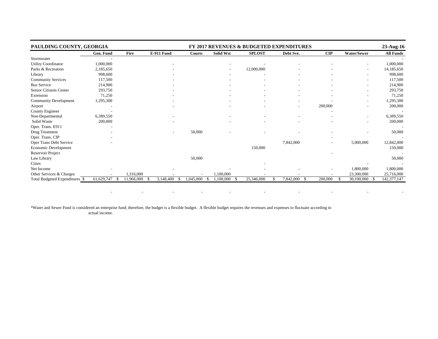| PAULDING COUNTY, GEORGIA       |                  |            |                   |                 |                  |               | FY 2017 REVENUES & BUDGETED EXPENDITURES |                |                          | 23-Aug-16        |
|--------------------------------|------------------|------------|-------------------|-----------------|------------------|---------------|------------------------------------------|----------------|--------------------------|------------------|
|                                | Gen. Fund        | Fire       | <b>E-911 Fund</b> | Courts          | <b>Solid Wst</b> | <b>SPLOST</b> | Debt Sve.                                | $\mathbf{CIP}$ | <b>Water/Sewer</b>       | <b>All Funds</b> |
| Stormwater                     |                  |            |                   |                 |                  |               |                                          |                |                          |                  |
| Utility Coordinator            | 1,000,000        |            |                   |                 |                  |               |                                          |                |                          | 1,000,000        |
| Parks & Recreation             | 2,185,650        |            |                   |                 |                  | 12,000,000    |                                          |                | $\overline{\phantom{a}}$ | 14,185,650       |
| Library                        | 998,600          |            |                   |                 |                  |               |                                          |                |                          | 998,600          |
| Community Services             | 117,500          |            |                   |                 |                  |               |                                          |                |                          | 117,500          |
| <b>Bus Service</b>             | 214,900          |            |                   |                 |                  |               |                                          |                | $\overline{\phantom{a}}$ | 214,900          |
| Senior Citizens Center         | 293,750          |            |                   |                 |                  |               |                                          |                |                          | 293,750          |
| Extension                      | 71,250           |            |                   |                 |                  |               |                                          |                |                          | 71,250           |
| <b>Community Development</b>   | 1,295,300        |            |                   |                 |                  |               |                                          |                |                          | 1,295,300        |
| Airport                        |                  |            |                   |                 |                  |               |                                          | 200,000        |                          | 200,000          |
| County Engineer                |                  |            |                   |                 |                  |               |                                          |                |                          |                  |
| Non-Departmental               | 6,389,550        |            |                   |                 |                  |               |                                          |                |                          | 6,389,550        |
| Solid Waste                    | 200,000          |            |                   |                 |                  |               |                                          |                |                          | 200,000          |
| Oper. Trans. E911              |                  |            |                   |                 |                  |               |                                          |                |                          |                  |
| Drug Treatment                 |                  |            |                   | 50,000          |                  |               |                                          |                |                          | 50,000           |
| Oper. Trans. CIP               |                  |            |                   |                 |                  |               |                                          |                |                          |                  |
| Oper Trans Debt Service        |                  |            |                   |                 |                  |               | 7,842,000                                |                | 5,000,000                | 12,842,000       |
| Economic Development           |                  |            |                   |                 |                  | 150,000       |                                          |                |                          | 150,000          |
| Reservoir Project              |                  |            |                   |                 |                  |               |                                          |                |                          |                  |
| Law Library                    |                  |            |                   | 50,000          |                  |               |                                          |                |                          | 50,000           |
| <b>Cities</b>                  |                  |            |                   |                 |                  |               |                                          |                |                          |                  |
| Net Income                     |                  |            |                   |                 |                  |               |                                          |                | 1,800,000                | 1,800,000        |
| Other Services & Charges       |                  | 1,316,000  |                   |                 | 1.100.000        |               |                                          |                | 23,300,000               | 25,716,000       |
| Total Budgeted Expenditures \$ | 61,629,747<br>-S | 11,966,000 | 3,148,400<br>÷.   | 1,045,000<br>-S | 1,100,000        | 25,346,000    | 7,842,000<br>- \$                        | 200,000        | 30,100,000<br>-\$        | 142, 377, 147    |

- - - - - - - - - -

\*Water and Sewer Fund is considered an enterprise fund; therefore, the budget is a flexible budget. A flexible budget requires the revenues and expenses to fluctuate according to actual income.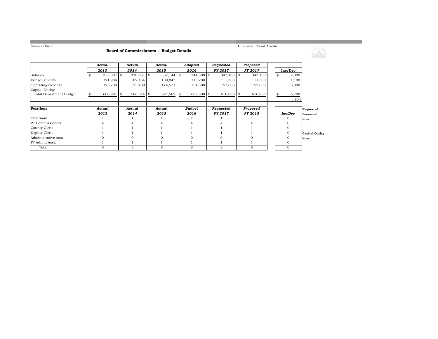**Common** 

#### **Board of Commissioners -- Budget Details**

Chairman David Austin

<u> 1989 - Johann Barnett, fransk politik (d. 1989)</u>

|                                | Actual           |            | Actual       |   | Actual       | Adopted          | Requested      | Proposed       |    |              |                       |
|--------------------------------|------------------|------------|--------------|---|--------------|------------------|----------------|----------------|----|--------------|-----------------------|
|                                | 2013             |            | 2014         |   | 2015         | 2016             | FY 2017        | FY 2017        |    | Inc/Dec      |                       |
| Salaries                       | \$<br>353,307 \$ |            | $330,951$ \$ |   | $337,144$ \$ | $344,800$ \$     | $347,100$ \$   | 347,100        | \$ | 2,300        |                       |
| Fringe Benefits                | 121,984          |            | 102,154      |   | 109,847      | 110,200          | 111,300        | 111,300        |    | 1,100        |                       |
| Operating Expense              | 125,700          |            | 133,409      |   | 174,571      | 154,300          | 157,600        | 157,600        |    | 3,300        |                       |
| Capital Outlay                 |                  |            |              |   |              |                  |                |                |    |              |                       |
| <b>Total Department Budget</b> | 600,991          | $\sqrt{3}$ | $566,514$ \$ |   | 621,562      | \$<br>609,300 \$ | 616,000 \$     | 616,000        |    | 6,700        |                       |
|                                |                  |            |              |   |              |                  |                |                |    | 1.10%        |                       |
|                                |                  |            |              |   |              |                  |                |                |    |              |                       |
| Positions                      | Actual           |            | Actual       |   | Actual       | Budget           | Requested      | Proposed       |    |              | Requested:            |
|                                | 2013             |            | 2014         |   | 2015         | 2016             | <b>FY 2017</b> | <b>FY 2015</b> |    | Inc/Dec      | Personnel             |
| Chairman                       |                  |            |              |   |              |                  |                |                |    |              | None                  |
| <b>PT</b> Commissioners        |                  |            |              |   |              |                  |                |                |    |              |                       |
| County Clerk                   |                  |            |              |   |              |                  |                |                |    |              |                       |
| Deputy Clerk                   |                  |            |              |   |              |                  |                |                |    |              | <b>Capital Outlay</b> |
| Administrative Asst            |                  |            |              |   |              |                  |                |                |    | $\Omega$     | None                  |
| PT Admin Asst.                 |                  |            |              |   |              |                  |                |                |    | 0            |                       |
| Total                          | 8                |            | 8            | 8 |              | 8                | 8              | 8              |    | $\mathbf{0}$ |                       |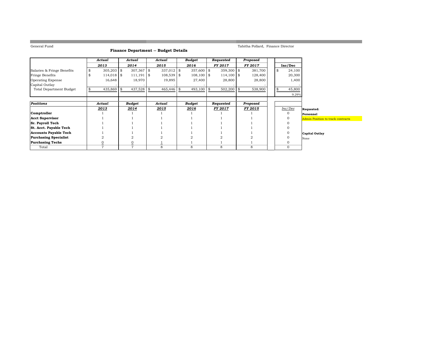**COL** 

#### **Finance Department -- Budget Details**

Tabitha Pollard, Finance Director

a sa kacamatan ing Kabupatèn Kabupatèn Kabupatèn Kabupatèn Kabupatèn Kabupatèn Kabupatèn Kabupatèn Kabupatèn K

|                                | Actual         |  | Actual        |            | Actual       | Budget        | Requested          | Proposed       |    |              |                                   |  |
|--------------------------------|----------------|--|---------------|------------|--------------|---------------|--------------------|----------------|----|--------------|-----------------------------------|--|
|                                | 2013           |  | 2014          |            | 2015         | 2016          | <b>FY 2017</b>     | <b>FY 2017</b> |    | Inc/Dec      |                                   |  |
| Salaries & Fringe Benefits     | $305,203$ \$   |  | 307,367       | \$         | $337,012$ \$ | 357,600 \$    | $359,300$ \$       | 381,700        | \$ | 24,100       |                                   |  |
| Fringe Benefits                | $114,018$ \$   |  | 111,191       | $\sqrt{3}$ | $108,539$ \$ | $108,100$ \$  | $114,100$ \$       | 128,400        |    | 20,300       |                                   |  |
| Operating Expense              | 16,648         |  | 18,970        |            | 19,895       | 27,400        | 28,800             | 28,800         |    | 1,400        |                                   |  |
| Capital Outlay                 |                |  |               |            |              |               |                    |                |    |              |                                   |  |
| <b>Total Department Budget</b> | 435,869        |  | 437,528<br>\$ |            | 465,446      | \$<br>493,100 | \$<br>$502,200$ \$ | 538,900        | \$ | 45,800       |                                   |  |
|                                |                |  |               |            |              |               |                    |                |    | 9.29%        |                                   |  |
|                                |                |  |               |            |              |               |                    |                |    |              |                                   |  |
| <b>Positions</b>               | Actual         |  | <b>Budget</b> |            | Actual       | Budget        | Requested          | Proposed       |    |              |                                   |  |
|                                | 2013           |  | 2014          |            | 2015         | 2016          | FY 2017            | <b>FY 2015</b> |    | Inc/Dec      | Requested:                        |  |
| Comptroller                    |                |  |               |            |              |               |                    |                |    | $\mathbf{O}$ | Personnel                         |  |
| <b>Acct Supervisor</b>         |                |  |               |            |              |               |                    |                |    |              | Admin Position to track contracts |  |
| Sr. Payroll Tech               |                |  |               |            |              |               |                    |                |    |              |                                   |  |
| St. Acct. Payable Tech         |                |  |               |            |              |               |                    |                |    |              |                                   |  |
| <b>Accounts Payable Tech</b>   |                |  |               |            |              |               |                    |                |    |              | <b>Capital Outlay</b>             |  |
| <b>Purchasing Specialist</b>   | $\overline{2}$ |  |               |            |              |               |                    |                |    |              | None                              |  |
| <b>Purchasing Techs</b>        | $\overline{0}$ |  |               |            |              |               |                    |                |    |              |                                   |  |
| Total                          | $\overline{7}$ |  | 7             |            | 8            | 8             | 8                  | 8              |    | $\mathbf{0}$ |                                   |  |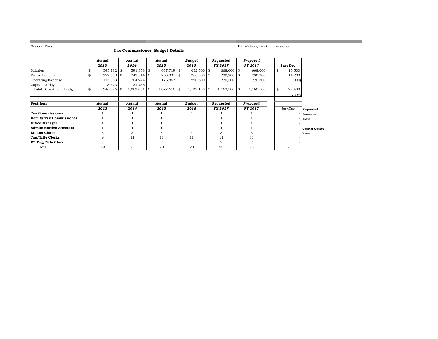the control of the control of the control of the control of the control of

Bill Watson, Tax Commissioner

|  |  | Tax Commissioner Budget Details |  |  |  |  |
|--|--|---------------------------------|--|--|--|--|
|--|--|---------------------------------|--|--|--|--|

|                                |   | Actual       |    | Actual         |    | Actual         |  | Budget         | Requested      |          | Proposed       |    |         |                       |
|--------------------------------|---|--------------|----|----------------|----|----------------|--|----------------|----------------|----------|----------------|----|---------|-----------------------|
|                                |   | 2013         |    | 2014           |    | 2015           |  | 2016           | <b>FY 2017</b> |          | <b>FY 2017</b> |    | Inc/Dec |                       |
| Salaries                       |   | $545,782$ \$ |    | $591,358$ \$   |    | $637,719$ \$   |  | 652,500 \$     | 668,000 \$     |          | 668,000        | \$ | 15,500  |                       |
| <b>Fringe Benefits</b>         | s | $222,358$ \$ |    | $242,514$ \\$  |    | $263,031$ \$   |  | $266,000$ \$   | 280,200 \$     |          | 280,200        |    | 14,200  |                       |
| <b>Operating Expense</b>       |   | 175,363      |    | 204,244        |    | 176,867        |  | 220,600        | 220,300        |          | 220,300        |    | (300)   |                       |
| Capital Outlay                 |   | 3,323        |    | 31,735         |    |                |  |                |                |          |                |    |         |                       |
| <b>Total Department Budget</b> |   | 946,826      | S. | 1,069,851      | \$ | $1,077,616$ \$ |  | $1,139,100$ \$ | 1,168,500      | <b>S</b> | 1,168,500      | \$ | 29,400  |                       |
|                                |   |              |    |                |    |                |  |                |                |          |                |    | 2.58%   |                       |
|                                |   |              |    |                |    |                |  |                |                |          |                |    |         |                       |
| Positions                      |   | Actual       |    | Actual         |    | Actual         |  | Budget         | Requested      |          | Proposed       |    |         |                       |
|                                |   | 2013         |    | 2014           |    | 2015           |  | 2016           | <b>FY 2017</b> |          | FY 2017        |    | Inc/Dec | Requested:            |
| <b>Tax Commissioner</b>        |   |              |    |                |    |                |  |                |                |          |                |    |         | Personnel             |
| Deputy Tax Commissioner        |   |              |    |                |    |                |  |                |                |          |                |    |         | None                  |
| <b>Office Manager</b>          |   |              |    |                |    |                |  |                |                |          |                |    |         |                       |
| Administrative Assistant       |   |              |    |                |    |                |  |                |                |          |                |    |         | <b>Capital Outlay</b> |
| <b>Sr. Tax Clerks</b>          |   |              |    |                |    |                |  |                |                |          |                |    |         | None                  |
| Tag/Title Clerks               |   | 9            |    | 11             |    | 11             |  | 11             | 11             |          | 11             |    |         |                       |
| <b>PT Tag/Title Clerk</b>      |   | 3            |    | $\overline{2}$ |    |                |  | 2              | 2              |          |                |    |         |                       |
| Total                          |   | 19           |    | 20             |    | 20             |  | 20             | 20             |          | 20             |    |         |                       |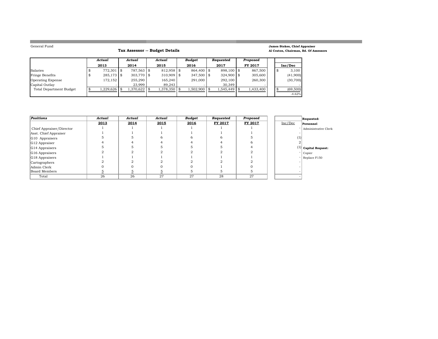**College** 

#### **Tax Assessor -- Budget Details**

#### **James Stokes, Chief Appraiser Al Craton, Chairman, Bd. Of Assessors**

<u> Linda a shekara ta 1989</u>

and the control of the control of the control of the control of the control of the control of the control of the

|                          | Actual        | Actual     | Actual       | Budget       | Requested     | Proposed  |  |           |
|--------------------------|---------------|------------|--------------|--------------|---------------|-----------|--|-----------|
|                          | 2013          | 2014       | 2015         | 2016         | 2017          | FY 2017   |  | Inc/Dec   |
| Salaries                 | $772.301$ \\$ | 787,563 \$ | $812,958$ \$ | 864,400 \$   | 898.100 \$    | 867.500   |  | 3,100     |
| Fringe Benefits          | $285,173$ \$  | 303.770 \$ | $310,909$ \$ | $347,500$ \$ | $324.900$ \\$ | 305,600   |  | (41,900)  |
| <b>Operating Expense</b> | 172.152       | 255,290    | 165.240      | 291.000      | 292,100       | 260,300   |  | (30, 700) |
| Capital Outlay           |               | 23.999     | 89.243       |              | 30.349        |           |  |           |
| Total Department Budget  | 1,229,626     | 1,370,622  | 1,378,350    | 1,502,900    | 1,545,449     | 1,433,400 |  | (69, 500) |
|                          |               |            |              |              |               |           |  | $-4.62%$  |

| Positions                | Actual | Actual | Actual | <b>Budget</b> | Requested | Proposed |          | Requested:             |
|--------------------------|--------|--------|--------|---------------|-----------|----------|----------|------------------------|
|                          | 2013   | 2014   | 2015   | 2016          | FY 2017   | FY 2017  | Inc/Dec  | Personnel              |
| Chief Appraiser/Director |        |        |        |               |           |          |          | Administrative Clerk   |
| Asst. Chief Appraiser    |        |        |        |               |           |          |          |                        |
| G10 Appraisers           |        |        | n      |               |           |          | $_{(1)}$ |                        |
| G12 Appraiser            |        |        |        |               |           |          |          |                        |
| G14 Appraisers           |        |        |        |               |           |          |          | $(1)$ Capital Request: |
| G16 Appraisers           |        |        |        |               |           |          |          | Copier                 |
| G18 Appraisers           |        |        |        |               |           |          |          | Replace F150           |
| Cartographers            |        |        |        |               |           |          |          |                        |
| Admin Clerk              |        |        |        |               |           |          |          |                        |
| Board Members            |        |        |        |               |           |          |          |                        |
| Total                    | 26     | 26     | 27     | 27            | 28        | 27       |          |                        |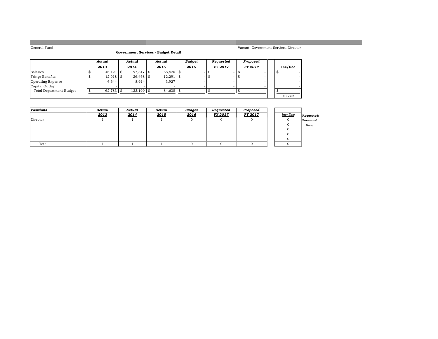#### **Government Services - Budget Detail**

|                          | Actual |             |  | Actual       | Actual        | Budget | Requested      | Proposed       |         |  |
|--------------------------|--------|-------------|--|--------------|---------------|--------|----------------|----------------|---------|--|
|                          |        | 2013        |  | 2014         | 2015          | 2016   | <b>FY 2017</b> | <b>FY 2017</b> | Inc/Dec |  |
| Salaries                 |        | $46,121$ \$ |  | 97,817 \$    | $68.420$ \ \$ |        |                |                |         |  |
| Fringe Benefits          |        | $12,018$ \$ |  | 26,468 \$    | $12,291$ \$   |        |                |                |         |  |
| <b>Operating Expense</b> |        | 4.644       |  | 8.914        | 3,927         |        |                |                |         |  |
| Capital Outlay           |        |             |  |              |               |        |                |                |         |  |
| Total Department Budget  |        | 62,783 \$   |  | $133.199$ \$ | 84,638 \$     |        |                |                |         |  |
|                          |        |             |  |              |               |        |                |                | #DIV/0! |  |

| <b>Positions</b> | Actual | Actual | Actual | <b>Budget</b> | Requested | Proposed |         |            |
|------------------|--------|--------|--------|---------------|-----------|----------|---------|------------|
|                  | 2013   | 2014   | 2015   | 2016          | FY 2017   | FY 2017  | Inc/Dec | Requested: |
| Director         |        |        |        |               |           |          |         | Personnel  |
|                  |        |        |        |               |           |          |         | None       |
|                  |        |        |        |               |           |          |         |            |
|                  |        |        |        |               |           |          |         |            |
|                  |        |        |        |               |           |          |         |            |
| Total            |        |        |        |               |           |          |         |            |

Vacant, Government Services Director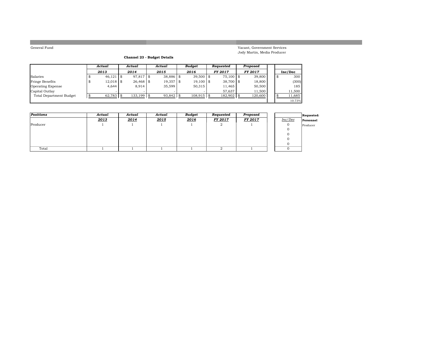Vacant, Government Services Jody Martin, Media Producer

#### **Channel 23 - Budget Details**

|                          |   | Actual      | Actual       | Actual    |      | Budaet       | Reauested      | Proposed       |   |         |
|--------------------------|---|-------------|--------------|-----------|------|--------------|----------------|----------------|---|---------|
|                          |   | 2013        | 2014         | 2015      |      | 2016         | <b>FY 2017</b> | <b>FY 2017</b> |   | Inc/Dec |
| Salaries                 |   | $46,121$ \$ | 97,817 \$    | 38,886 \$ |      | $39,500$ \$  | 75,100 \$      | 39,800         | Æ | 300     |
| <b>Fringe Benefits</b>   | £ | $12,018$ \$ | $26.468$ \$  | 19,357    | l \$ | $19,100$ \$  | 38,700 \$      | 18,800         |   | (300)   |
| <b>Operating Expense</b> |   | 4.644       | 8.914        | 35.599    |      | 50,315       | 11.465         | 50,500         |   | 185     |
| Capital Outlay           |   |             |              |           |      |              | 57.637         | 11.500         |   | 11.500  |
| Total Department Budget  |   | 62,783      | $133.199$ \$ | 93,842 \$ |      | $108,915$ \$ | $182,902$ \$   | 120,600        |   | 11,685  |
|                          |   |             |              |           |      |              |                |                |   | 10.73%  |

| Positions | Actual | Actual | Actual | <b>Budget</b> | Requested      | Proposed |         | <b>Requested:</b> |
|-----------|--------|--------|--------|---------------|----------------|----------|---------|-------------------|
|           | 2013   | 2014   | 2015   | 2016          | <b>FY 2017</b> | FY 2017  | Inc/Dec | Personnel         |
| Producer  |        |        |        |               | ∠              |          |         | Producer          |
|           |        |        |        |               |                |          |         |                   |
|           |        |        |        |               |                |          |         |                   |
|           |        |        |        |               |                |          |         |                   |
|           |        |        |        |               |                |          |         |                   |
| Total     |        |        |        |               |                |          |         |                   |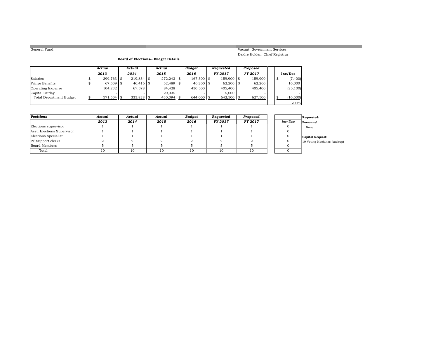#### Vacant, Government Services Deidre Holden, Chief Registrar

#### **Board of Elections-- Budget Details**

|                                | Actual        | Actual       | Actual        | Budget        | Reauested      | Proposed       |  |           |
|--------------------------------|---------------|--------------|---------------|---------------|----------------|----------------|--|-----------|
|                                | 2013          | 2014         | 2015          | 2016          | <b>FY 2017</b> | <b>FY 2017</b> |  | Inc/Dec   |
| Salaries                       | $399.763$ \\$ | $219.834$ \$ | $272.243$ \\$ | $167.300$ \\$ | 159,900 \$     | 159.900        |  | (7, 400)  |
| <b>Fringe Benefits</b>         | 67,509 \$     | $46.416$ \$  | 52,489 \$     | $46,200$ \$   | $62,200$ \$    | 62,200         |  | 16,000    |
| <b>Operating Expense</b>       | 104,232       | 67.578       | 84,428        | 430,500       | 405.400        | 405,400        |  | (25, 100) |
| Capital Outlay                 |               |              | 20.935        |               | 15,000         |                |  |           |
| <b>Total Department Budget</b> | 571,504       | 333.828      | 430.094       | 644,000 \$    | $642.500$ \$   | 627,500        |  | (16, 500) |
|                                |               |              |               |               |                |                |  | $-2.56%$  |

| Positions                  | Actual | Actual | Actual       | <b>Budget</b> | Requested      | Proposed |         | Requested:                  |
|----------------------------|--------|--------|--------------|---------------|----------------|----------|---------|-----------------------------|
|                            | 2013   | 2014   | <u> 2015</u> | 2016          | <b>FY 2017</b> | FY 2017  | Inc/Dec | Personnel                   |
| Elections supervisor       |        |        |              |               |                |          |         | None                        |
| Asst. Elections Supervisor |        |        |              |               |                |          |         |                             |
| Elections Specialist       |        |        |              |               |                |          |         | Capital Request:            |
| <b>PT</b> Support clerks   |        |        |              |               |                |          |         | 10 Voting Machines (backup) |
| Board Members              |        |        |              |               |                |          |         |                             |
| Total                      | 10     |        | 10           | 10            | 10             | 10       |         |                             |

|         | Requested:              |
|---------|-------------------------|
| Inc/Dec | Personnel               |
| Ω       | None                    |
| O       |                         |
| O       | <b>Capital Request:</b> |
| O       | 10 Voting Machines (I   |
|         |                         |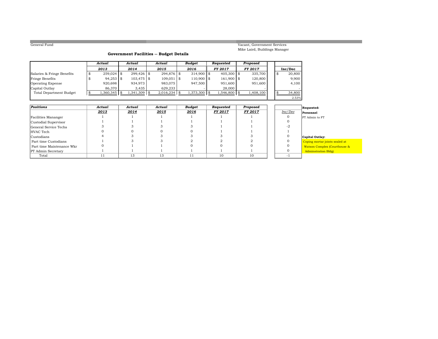Vacant, Government Services Mike Laird, Buildings Manager

#### **Government Facilities -- Budget Details**

|                                | Actual       |      | Actual         | Actual       | <b>Budget</b> | Requested      | Proposed       |      |         |
|--------------------------------|--------------|------|----------------|--------------|---------------|----------------|----------------|------|---------|
|                                | 2013         |      | 2014           | 2015         | 2016          | <b>FY 2017</b> | <b>FY 2017</b> |      | Inc/Dec |
| Salaries & Fringe Benefits     | $259,024$ \$ |      | $299.426$ \$   | 294,876 \$   | $314,900$ \$  | $405,300$ \$   | 335,700        | - 33 | 20,800  |
| Fringe Benefits                | $94,253$ \$  |      | $103.475$ \$   | $109,051$ \$ | $110,900$ \$  | 161,900 \$     | 120,800        |      | 9,900   |
| <b>Operating Expense</b>       | 920,698      |      | 934,973        | 983.075      | 947,500       | 951,600        | 951,600        |      | 4,100   |
| Capital Outlay                 | 86.370       |      | 3.435          | 629.233      |               | 28,000         |                |      |         |
| <b>Total Department Budget</b> | .360,345     | - 96 | $1,341,309$ \$ | 2,016,234    | 1,373,300 \$  | 1,546,800 \$   | 1,408,100      |      | 34,800  |
|                                |              |      |                |              |               |                |                |      | 2.53%   |

| Positions                 | Actual | Actual | Actual | Budget | Requested      | Proposed       |         | Requested:                |
|---------------------------|--------|--------|--------|--------|----------------|----------------|---------|---------------------------|
|                           | 2013   | 2014   | 2015   | 2016   | <b>FY 2017</b> | <b>FY 2017</b> | Inc/Dec | Personnel                 |
| Facilities Mananger       |        |        |        |        |                |                |         | PT Admin to FT            |
| Custodial Supervisor      |        |        |        |        |                |                |         |                           |
| General Service Techs     |        |        |        |        |                |                |         |                           |
| HVAC Tech                 |        |        |        |        |                |                |         |                           |
| Custodians                |        |        |        |        |                |                |         | Capital Outlay:           |
| Part time Custodians      |        |        |        |        |                |                |         | Coping mortar joints      |
| Part time Maintenance Wkr |        |        |        |        |                |                |         | <b>Watson Complex (Co</b> |
| <b>PT</b> Admin Secretary |        |        |        |        |                |                |         | <b>Adminstration Bldg</b> |
| Total                     |        | 13     | 13     | 11     | 10             | 10             |         |                           |

3 mortar joints sealed at –<br>on Complex (Courthouse &<br>instration Bldg)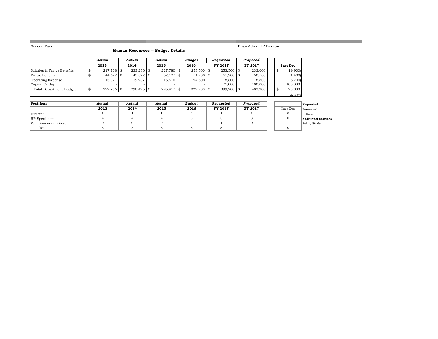**COLLEGE** 

#### **Human Resources -- Budget Details**

Brian Acker, HR Director

|                                |      | Actual        | Actual        | Actual       | Budget        | Requested    | Proposed       |    |          |
|--------------------------------|------|---------------|---------------|--------------|---------------|--------------|----------------|----|----------|
|                                |      | 2013          | 2014          | 2015         | 2016          | FY 2017      | <b>FY 2017</b> |    | Inc/Dec  |
| Salaries & Fringe Benefits     | - \$ | $217.708$ \\$ | $233.236$ \\$ | $227,780$ \$ | $253.500$ \\$ | $253,500$ \$ | 233,600        | -8 | (19,900) |
| <b>Fringe Benefits</b>         |      | 44,677 \$     | $45,322$ \$   | $52,127$ \$  | $51,900$ \$   | 51,900 \$    | 50,500         |    | (1,400)  |
| <b>Operating Expense</b>       |      | 15.371        | 19.937        | 15.510       | 24.500        | 18.800       | 18,800         |    | (5,700)  |
| Capital Outlay                 |      |               |               |              |               | 75,000       | 100,000        |    | 100,000  |
| <b>Total Department Budget</b> |      | 277,756 \$    | 298,495 \$    | $295.417$ \$ | $329,900$ \$  | $399,200$ \$ | 402,900        |    | 73,000   |
|                                |      |               |               |              |               |              |                |    | 22.13%   |

| Positions            | Actual | Actual | Actual | <b>Budget</b> | Reauested | Proposed       |         | Requested:                 |
|----------------------|--------|--------|--------|---------------|-----------|----------------|---------|----------------------------|
|                      | 2013   | 2014   | 2015   | 2016          | FY 2017   | <b>FY 2017</b> | Inc/Dec | Personnel                  |
| Director             |        |        |        |               |           |                |         | None                       |
| HR Specialists       |        |        |        |               |           |                |         | <b>Additional Services</b> |
| Part time Admin Asst |        |        |        |               |           |                |         | Salary Study               |
| Total                |        |        |        |               |           |                |         |                            |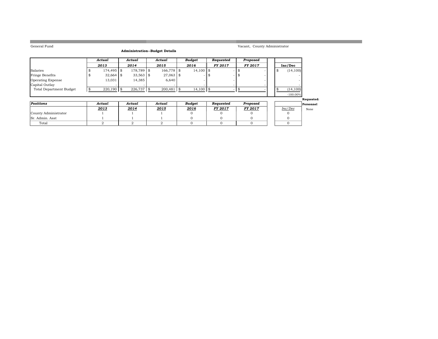**The State** 

#### **Administration--Budget Details**

Vacant, County Administrator

|                          | Actual       | Actual      | Actual        | Budget      | Requested                | Proposed       |  |                          |
|--------------------------|--------------|-------------|---------------|-------------|--------------------------|----------------|--|--------------------------|
|                          | 2013         | 2014        | 2015          | 2016        | <b>FY 2017</b>           | <b>FY 2017</b> |  | Inc/Dec                  |
| Salaries                 | 174,495 \$   | 178.789 \$  | $166.778$ \\$ | $14.100$ \$ |                          |                |  | (14, 100)                |
| Fringe Benefits          | $32,664$ \$  | $33,563$ \$ | 27,063 \$     | $\sim$      | $\overline{\phantom{a}}$ |                |  | $\overline{\phantom{a}}$ |
| <b>Operating Expense</b> | 13,031       | 14.385      | 6,640         |             |                          |                |  |                          |
| Capital Outlay           | $\sim$       |             | $\sim$        | $\sim$      |                          |                |  |                          |
| Total Department Budget  | $220.190$ \$ | 226,737     | $200.481$ \$  | $14.100$ \$ |                          |                |  | (14, 100)                |
|                          |              |             |               |             |                          |                |  | $-100.00%$               |

**Requested:**

| Positions            | Actual | Actual       | Actual | Budget | Reauested      | Proposed       |         | <b>Personnel</b> |
|----------------------|--------|--------------|--------|--------|----------------|----------------|---------|------------------|
|                      | 2013   | <u> 2014</u> | 2015   | 2016   | <b>FY 2017</b> | <b>FY 2017</b> | Inc/Dec | None             |
| County Administrator |        |              |        |        |                |                |         |                  |
| Sr. Admin. Asst      |        |              |        |        |                |                |         |                  |
| Total                |        |              |        |        |                |                |         |                  |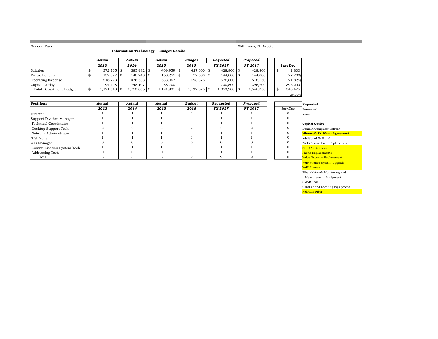m.

#### **Information Technology -- Budget Details**

#### *Actual Actual Actual Budget Requeted Proposed 2013 2014 2015 2016 FY 2017 FY 2017* **Inc/Dec** Salaries 372,765 \$ 385,982 \$ 409,959 \$ 427,000 \$ 428,800 \$ 428,800 \$ 1,800 \$ Fringe Benefits 137,877 \$ 148,243 \$ 160,255 \$ 172,500 \$ 144,800 \$ 144,800 \$ (27,700) Operating Expense 1 516,793 476,533 533,067 598,375 576,800 576,550 (21,825) Capital Outlay | 94,108 | 748,107 | 88,700 | - | 700,500 | 396,200 | | 396,200 Total Department Budget 1,121,543 \$ 1,758,865 \$ 1,191,981 \$ 1,197,875 \$ 1,850,900 \$ 1,546,350 \$ 348,475 \$ 29.09%

| Positions                 | Actual | Actual | Actual | Budget | Requested      | Proposed       |         | Requested:                  |
|---------------------------|--------|--------|--------|--------|----------------|----------------|---------|-----------------------------|
|                           | 2013   | 2014   | 2015   | 2016   | <b>FY 2017</b> | <b>FY 2017</b> | Inc/Dec | Personnel                   |
| Director                  |        |        |        |        |                |                |         | None                        |
| Support Division Manager  |        |        |        |        |                |                |         |                             |
| Technical Coordinator     |        |        |        |        |                |                |         | <b>Capital Outlay</b>       |
| Desktop Support Tech      |        |        |        |        |                |                |         | Domain Computer Re:         |
| Network Administrator     |        |        |        |        |                |                |         | <b>Microsoft EA Maint</b>   |
| <b>GIS</b> Techs          |        |        |        |        |                |                |         | Additional NAS at 911       |
| <b>GIS Manager</b>        |        |        |        |        |                |                |         | Wi-Fi Access Point Re       |
| Communication System Tech |        |        |        |        |                |                |         | <b>SO UPS Batteries</b>     |
| Addressing Tech           |        |        |        |        |                |                |         | <b>Phone Replacements</b>   |
| Total                     |        |        |        |        |                |                |         | <b>Voice Gateway Replac</b> |

#### Personnel None

Will Lyons, IT Director

Domain Computer Refresh **Microsoft EA Maint Agreement** 

Wi-Fi Access Point Replacement

Phone Replacements Voice Gateway Replacement

VoIP Phones System Upgrade

VoIP Phones

Fiber/Network Monitoring and

Measurement Equipment

SMART car

Conduit and Locating Equipment

**Relocate Fiber Relocate Fiber**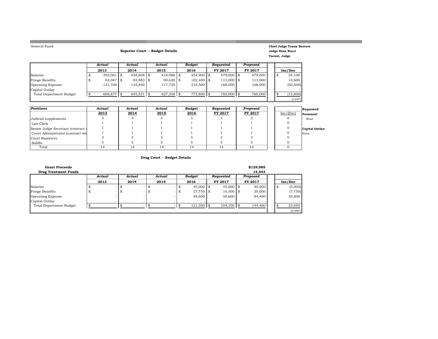**The Story** 

#### **Superior Court -- Budget Details**

#### **Chief Judge Tonny Beavers Judge Dean Bucci Vacant, Judge**

-2.04%

|                                | Actual        | Actual       | Actual       | <b>Budget</b> | Reauested     | Proposed |    |           |
|--------------------------------|---------------|--------------|--------------|---------------|---------------|----------|----|-----------|
|                                | 2013          | 2014         | 2015         | 2016          | FY 2017       | FY 2017  |    | Inc/Dec   |
| Salaries                       | $393.061$ \\$ | 428,808 \$   | $418,986$ \$ | $454.900$ \\$ | 479,000 \$    | 479,000  | \$ | 24,100    |
| <b>Fringe Benefits</b>         | $84.047$ \$   | $83.883$ \$  | $90.630$ \$  | $102,400$ \$  | $113,000$ \\$ | 113,000  |    | 10,600    |
| Operating Expense              | 131.769       | 132.840      | 117.730      | 218,500       | 168,000       | 168,000  |    | (50, 500) |
| Capital Outlay                 |               |              |              |               |               |          |    |           |
| <b>Total Department Budget</b> | 608.877       | $645,531$ \$ | $627,346$ \$ | 775,800 \$    | 760,000 \$    | 760,000  |    | (15, 800) |
|                                |               |              |              |               |               |          |    | $-2.04%$  |

| <b>Positions</b>                   | Actual | Actual | Actual | <b>Budget</b> | Reauested | Proposed |           | Requested:      |
|------------------------------------|--------|--------|--------|---------------|-----------|----------|-----------|-----------------|
|                                    | 2013   | 2014   | 2015   | 2016          | FY 2017   | FY 2017  | Inc/(Dec) | Personnel       |
| Judicial supplements               |        |        |        |               |           |          |           | None            |
| Law Clerk                          |        |        |        |               |           |          |           |                 |
| Senior Judge Secretary (contract v |        |        |        |               |           |          |           | Capital Outlay: |
| Court Administrator (contract wit  |        |        |        |               |           |          |           | None            |
| Court Reporters                    |        |        |        |               |           |          |           |                 |
| Baliffs                            |        |        |        |               |           |          |           |                 |
| Total                              | 14     |        |        |               | 14        |          |           |                 |

#### **Drug Court - Budget Details**

| <b>Grant Proceeds</b>          |        |   |        |    |        |      |              |              | \$129,985 |       |         |
|--------------------------------|--------|---|--------|----|--------|------|--------------|--------------|-----------|-------|---------|
| <b>Drug Treatment Funds</b>    |        |   |        |    |        |      |              |              | 14.443    |       |         |
|                                | Actual |   | Actual |    | Actual |      | Budget       | Requested    | Proposed  |       |         |
|                                | 2013   |   | 2014   |    | 2015   |      | 2016         | FY 2017      | FY 2017   |       | Inc/Dec |
| Salaries                       |        |   |        |    |        |      | $45,000$ \$  | $45,000$ \$  | 40,000    | - \$5 | (5,000) |
| Fringe Benefits                |        | - | ъ.     | ۰D |        | - \$ | 27,750 \$    | $10,500$ \$  | 20,000    |       | (7,750) |
| <b>Operating Expense</b>       |        |   |        |    |        |      | 48,600       | 48,600       | 84.400    |       | 35,800  |
| Capital Outlay                 |        |   |        |    |        |      |              |              |           |       |         |
| <b>Total Department Budget</b> |        |   |        |    |        |      | $121,350$ \$ | $104,100$ \$ | 144,400   |       | 23,050  |
|                                |        |   |        |    |        |      |              |              |           |       | 18.99%  |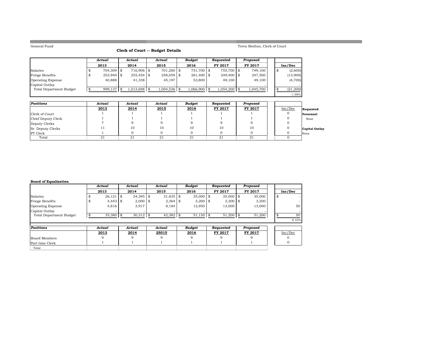**Contract** 

#### **Clerk of Court -- Budget Details**

Treva Shelton, Clerk of Court

|                                | Actual       | Actual       | Actual         | <b>Budget</b>  | Requested       | Proposed  |    |           |
|--------------------------------|--------------|--------------|----------------|----------------|-----------------|-----------|----|-----------|
|                                | 2013         | 2014         | 2015           | 2016           | FY 2017         | FY 2017   |    | Inc/Dec   |
| Salaries                       | 704,309 \$   | $716.906$ \$ | $701.280$ \$   | 751,700 \$     | 755.700 \$      | 749.100   | -8 | (2,600)   |
| Fringe Benefits                | $253.940$ \$ |              | $258,059$ \$   | $261,400$ \\$  | $249.400$ \$    | 247.500   |    | (13,900)  |
| <b>Operating Expense</b>       | 40,888       | 41,338       | 45,197         | 53,800         | 49,100          | 49,100    |    | (4,700)   |
| Capital Outlay                 |              |              |                |                |                 |           |    |           |
| <b>Total Department Budget</b> | 999,137      | 1,013,698 \$ | $1,004,536$ \$ | $1,066,900$ \$ | $1,054,200$ \\$ | 1,045,700 |    | (21, 200) |
|                                |              |              |                |                |                 |           |    | $-1.99%$  |

| <b>Positions</b>   | Actual | Actual | Actual | Budget | Requested | Proposed |         |                       |
|--------------------|--------|--------|--------|--------|-----------|----------|---------|-----------------------|
|                    | 2013   | 2014   | 2015   | 2016   | FY 2017   | FY 2017  | Inc/Dec | Requested:            |
| Clerk of Court     |        |        |        |        |           |          |         | Personnel             |
| Chief Deputy Clerk |        |        |        |        |           |          |         | None                  |
| Deputy Clerks      |        |        |        |        |           |          |         |                       |
| Sr. Deputy Clerks  | 11     | 10     | 10     | 10     | 10        | 10       |         | <b>Capital Outlay</b> |
| <b>PT</b> Clerk    |        |        |        |        |           |          |         | None                  |
| Total              | 21     | 21     | 21     | 21     | 21        | 21       |         |                       |

#### **Board of Equalization**

|                                | Actual      | Actual            | Actual      | <b>Budget</b> |      | Requested      | Proposed |    |         |
|--------------------------------|-------------|-------------------|-------------|---------------|------|----------------|----------|----|---------|
|                                | 2013        | 2014              | 2015        | 2016          |      | FY 2017        | FY 2017  |    | Inc/Dec |
| Salaries                       | 26,121      | \$<br>$24,395$ \$ | $31,835$ \$ | 35,000        | - \$ | $35,000$ \$    | 35,000   | \$ |         |
| Fringe Benefits                | $4,443$ \$  | $2,000$ \$        | $2,364$ \$  | $3,200$ \$    |      | $3,200$ \$     | 3,200    |    |         |
| <b>Operating Expense</b>       | 4,816       | 3,917             | 8,184       | 12,950        |      | 13,000         | 13,000   |    | 50      |
| Capital Outlay                 |             |                   |             |               |      |                |          |    |         |
| <b>Total Department Budget</b> | $35,380$ \$ | $30,312$ \$       | $42,382$ \$ | $51,150$ \$   |      | $51,200$ \$    | 51,200   | \$ | 50      |
|                                |             |                   |             |               |      |                |          |    | 0.10%   |
| <b>Positions</b>               | Actual      | Actual            | Actual      | <b>Budget</b> |      | Requested      | Proposed |    |         |
|                                | 2013        | 2014              | 25015       | 2016          |      | <b>FY 2017</b> | FY 2017  |    | Inc/Dec |
| Board Members                  | Q           | $\mathbf Q$       | q           | Q             |      | $\Omega$       |          |    |         |
| Part time Clerk                |             |                   |             |               |      |                |          |    |         |
| Total                          |             |                   |             |               |      |                |          |    |         |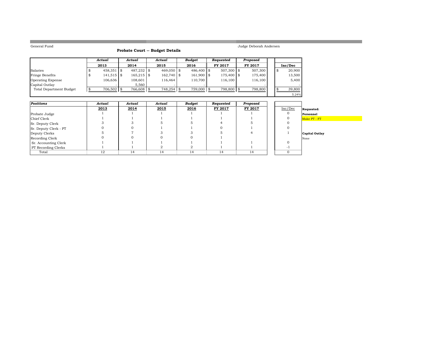**College** 

#### **Probate Court -- Budget Details**

Judge Deborah Andersen

|                         | Actual       |     | Actual       | Actual       | <b>Budget</b> | Reauested      | Proposed |    |         |
|-------------------------|--------------|-----|--------------|--------------|---------------|----------------|----------|----|---------|
|                         | 2013         |     | 2014         | 2015         | 2016          | <b>FY 2017</b> | FY 2017  |    | Inc/Dec |
| Salaries                | $458,351$ \$ |     | 487,232 \$   | $469.050$ \$ | 486,400 \$    | $507,300$ \$   | 507,300  | -8 | 20,900  |
| <b>Fringe Benefits</b>  | $141,515$ \$ |     | $165,215$ \$ | 162,740 \$   | $161.900$ \$  | $175,400$ \$   | 175,400  |    | 13,500  |
| Operating Expense       | 106,636      |     | 108.601      | 116.464      | 110.700       | 116,100        | 116,100  |    | 5,400   |
| Capital Outlay          |              |     | 5.560        |              |               |                |          |    |         |
| Total Department Budget | 706,502      | -86 | 766,608      | 748,254      | 759,000 \$    | 798,800 \$     | 798,800  |    | 39,800  |
|                         |              |     |              |              |               |                |          |    | 5.24%   |

| <b>Positions</b>      | Actual | Actual | Actual | <b>Budget</b> | Requested | Proposed |         |                |
|-----------------------|--------|--------|--------|---------------|-----------|----------|---------|----------------|
|                       | 2013   | 2014   | 2015   | 2016          | FY 2017   | FY 2017  | Inc/Dec | Requested:     |
| Probate Judge         |        |        |        |               |           |          |         | Personnel      |
| Chief Clerk           |        |        |        |               |           |          |         | Make PT - FT   |
| Sr. Deputy Clerk      |        |        |        |               |           |          |         |                |
| Sr. Deputy Clerk - PT |        |        |        |               |           |          |         |                |
| Deputy Clerks         |        |        |        |               |           |          |         | Capital Outlay |
| Recording Clerk       |        |        |        |               |           |          |         | None           |
| Sr. Accounting Clerk  |        |        |        |               |           |          |         |                |
| PT Recording Clerks   |        |        |        |               |           |          |         |                |
| Total                 | 12     | 14     | 14     | 14            | 14        | 14       |         |                |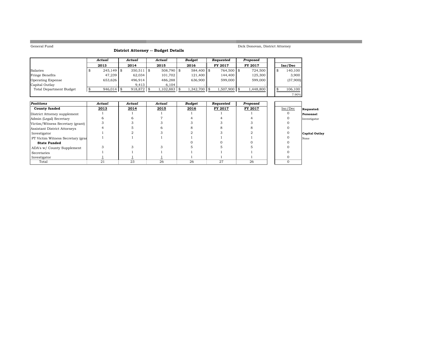**COL** 

#### **District Attorney -- Budget Details**

#### Dick Donovan, District Attorney

and the state of the state of the state of the state of the state of the

|                                | Actual        | Actual       | Actual       | Budget        | Requested       | Proposed       |    |          |
|--------------------------------|---------------|--------------|--------------|---------------|-----------------|----------------|----|----------|
|                                | 2013          | 2014         | 2015         | 2016          | <b>FY 2017</b>  | <b>FY 2017</b> |    | Inc/Dec  |
| Salaries                       | $245,149$ \$  | $350,511$ \$ | $508.790$ \$ | $584,400$ \\$ | 764,500 \$      | 724,500        | -8 | 140,100  |
| Fringe Benefits                | 47.239        | 62.034       | 101.702      | 121,400       | 144,400         | 125,300        |    | 3,900    |
| Operating Expense              | 653,626       | 496.914      | 486,288      | 636,900       | 599,000         | 599,000        |    | (37,900) |
| Capital Outlay                 |               | 9.413        | 6.104        |               |                 |                |    |          |
| <b>Total Department Budget</b> | $946.014$ \\$ | 918,872      | 1,102,883    | 1.342.700 \$  | $1.507.900$ \\$ | 1,448,800      |    | 106,100  |
|                                |               |              |              |               |                 |                |    | 7.90%    |

| <b>Positions</b>                  | Actual | Actual | Actual | Budget | Requested | Proposed |         |                |
|-----------------------------------|--------|--------|--------|--------|-----------|----------|---------|----------------|
| <b>County funded</b>              | 2013   | 2014   | 2015   | 2016   | FY 2017   | FY 2017  | Inc/Dec | Requested:     |
| District Attorney supplement      |        |        |        |        |           |          |         | Personnel      |
| Admin (Legal) Secretary           |        |        |        |        |           |          |         | Investigator   |
| Victim/Witness Secretary (grant)  |        |        |        |        |           |          |         |                |
| Assistant District Attorneys      |        |        |        |        |           |          |         |                |
| Investigator                      |        |        |        |        |           |          |         | Capital Outlay |
| PT Victim Witness Secretary (gran |        |        |        |        |           |          |         | None           |
| <b>State Funded</b>               |        |        |        |        |           |          |         |                |
| ADA's w/ County Supplement        |        |        |        |        |           |          |         |                |
| Secretaries                       |        |        |        |        |           |          |         |                |
| Investigator                      |        |        |        |        |           |          |         |                |
| Total                             | 21     | 23     | 26     | 26     | 27        | 26       |         |                |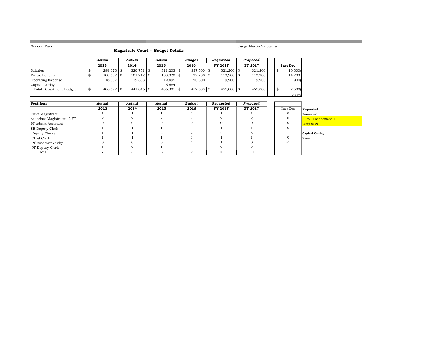**College** 

#### **Magistrate Court -- Budget Details**

Judge Martin Valbuena

|                                | Actual     | Actual        | Actual       | <b>Budget</b> | Requested     | Proposed       |    |           |
|--------------------------------|------------|---------------|--------------|---------------|---------------|----------------|----|-----------|
|                                | 2013       | 2014          | 2015         | 2016          | FY 2017       | <b>FY 2017</b> |    | Inc/Dec   |
| Salaries                       | 289.673 \$ | $320.751$ \\$ | $311,203$ \$ | $337.500$ \\$ | $321.200$ \\$ | 321,200        | \$ | (16, 300) |
| Fringe Benefits                | 100,687 \$ | $101,212$ \$  | $100,020$ \$ | 99,200 \$     | $113,900$ \\$ | 113,900        |    | 14,700    |
| <b>Operating Expense</b>       | 16,337     | 19,883        | 19,495       | 20,800        | 19,900        | 19,900         |    | (900)     |
| Capital Outlay                 |            |               | 5.584        |               |               |                |    |           |
| <b>Total Department Budget</b> | 406.697    | 441,846 \$    | $436,301$ \$ | 457,500 \$    | $455,000$ \$  | 455,000        |    | (2,500)   |
|                                |            |               |              |               |               |                |    | $-0.55%$  |

| Positions                   | Actual | Actual | Actual | Budget | Requested | Proposed |         |                                  |
|-----------------------------|--------|--------|--------|--------|-----------|----------|---------|----------------------------------|
|                             | 2013   | 2014   | 2015   | 2016   | FY 2017   | FY 2017  | Inc/Dec | Requested:                       |
| Chief Magistrate            |        |        |        |        |           |          |         | Personnel                        |
| Associate Magistrates, 2 FT |        |        |        |        |           |          |         | <b>PT</b> to FT or additional PT |
| <b>PT</b> Admin Assistant   |        |        |        |        |           |          |         | Temp to PT                       |
| <b>SR Deputy Clerk</b>      |        |        |        |        |           |          |         |                                  |
| Deputy Clerks               |        |        |        |        |           |          |         | Capital Outlay                   |
| Chief Clerk                 |        |        |        |        |           |          |         | None                             |
| PT Associate Judge          |        |        |        |        |           |          |         |                                  |
| PT Deputy Clerk             |        |        |        |        |           |          |         |                                  |
| Total                       |        |        |        |        | 10        | 10       |         |                                  |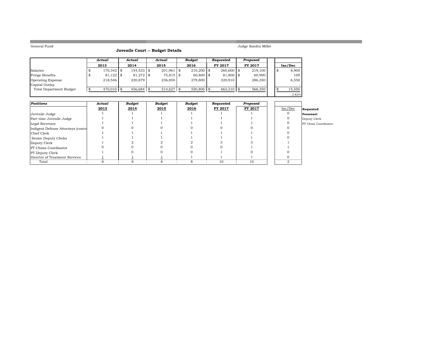**COL** 

#### **Juvenile Court -- Budget Details**

Judge Sandra Miller

|                          | Actual      | Actual        | Actual       | <b>Budget</b> | Requested    | Proposed       |     |         |
|--------------------------|-------------|---------------|--------------|---------------|--------------|----------------|-----|---------|
|                          | 2013        | 2014          | 2015         | 2016          | FY 2017      | <b>FY 2017</b> |     | Inc/Dec |
| Salaries                 | 170,342 \$  | $154,533$ \$  | $201.961$ \$ | $210,200$ \$  | $260,600$ \$ | 219,100        | -8  | 8,900   |
| Fringe Benefits          | $81,122$ \$ | $81.272$ \$   | $75,815$ \$  | $60,800$ \$   | 81,800 \$    | 60,900         |     | 100     |
| <b>Operating Expense</b> | 218.546     | 220,879       | 236,850      | 279,800       | 320.910      | 286,350        |     | 6,550   |
| Capital Outlay           |             |               |              |               |              |                |     |         |
| Total Department Budget  | 470.010 \$  | $456.684$ \\$ | 514.627      | 550,800 \$    | 663,310 \$   | 566,350        | -\$ | 15,550  |
|                          |             |               |              |               |              |                |     | 2.82%   |

| <b>Positions</b>                   | Actual | <b>Budget</b> | Budget | <b>Budget</b> | Requested | Proposed |         |                      |
|------------------------------------|--------|---------------|--------|---------------|-----------|----------|---------|----------------------|
|                                    | 2013   | 2014          | 2015   | 2016          | FY 2017   | FY 2017  | Inc/Dec | Requested:           |
| Juvenile Judge                     |        |               |        |               |           |          |         | Personnel            |
| Part time Juvenile Judge           |        |               |        |               |           |          |         | Deputy Clerk         |
| Legal Secretary                    |        |               |        |               |           |          |         | PT Chins Coordinator |
| Indigent Defense Attorneys (contra |        |               |        |               |           |          |         |                      |
| Chief Clerk                        |        |               |        |               |           |          |         |                      |
| Senior Deputy Clerks               |        |               |        |               |           |          |         |                      |
| Deputy Clerk                       |        |               |        |               |           |          |         |                      |
| <b>PT</b> Chims Coordinator        |        |               |        |               |           |          |         |                      |
| <b>PT</b> Deputy Clerk             |        |               |        |               |           |          |         |                      |
| Director of Treatment Services     |        |               |        |               |           |          |         |                      |
| Total                              |        | ົ             |        |               | 10        | 10       | ∩       |                      |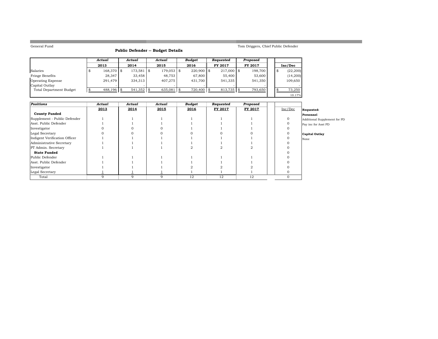**COL** 

#### **Public Defender -- Budget Details**

#### Tom Driggers, Chief Public Defender

a sa kacamatan ing Kabupatèn Kabupatèn Kabupatèn Kabupatèn Kabupatèn Kabupatèn Kabupatèn Kabupatèn Kabupatèn K

|                          | Actual     | Actual     | Actual  |      | Budget       | Reauested      | Proposed       |    |           |
|--------------------------|------------|------------|---------|------|--------------|----------------|----------------|----|-----------|
|                          | 2013       | 2014       | 2015    |      | 2016         | <b>FY 2017</b> | <b>FY 2017</b> |    | Inc/Dec   |
| Salaries                 | 168,370 \$ | 173,581 \$ | 179,053 | l \$ | $220,900$ \$ | $217,000$ \$   | 198,700        | \$ | (22, 200) |
| Fringe Benefits          | 28,347     | 33.458     | 48,753  |      | 67,800       | 55,400         | 53,600         |    | (14,200)  |
| <b>Operating Expense</b> | 291.479    | 334,313    | 407.275 |      | 431.700      | 541,335        | 541,350        |    | 109,650   |
| Capital Outlay           |            |            |         |      |              |                |                |    |           |
| Total Department Budget  | 488,196 \$ | 541,352    | 635,081 |      | 720,400 \$   | $813.735$ \\$  | 793.650        |    | 73.250    |
|                          |            |            |         |      |              |                |                |    | 10.17%    |

| Positions                     | Actual | Actual | Actual | <b>Budget</b> | Requested | Proposed |         |                              |
|-------------------------------|--------|--------|--------|---------------|-----------|----------|---------|------------------------------|
|                               | 2013   | 2014   | 2015   | 2016          | FY 2017   | FY 2017  | Inc/Dec | Requested:                   |
| <b>County Funded</b>          |        |        |        |               |           |          |         | Personnel                    |
| Supplement - Public Defender  |        |        |        |               |           |          |         | Additional Supplement for PD |
| Asst. Public Defender         |        |        |        |               |           |          |         | Pay inc for Asst PD          |
| Investigator                  |        |        |        |               |           |          |         |                              |
| Legal Secretary               |        |        |        |               |           |          |         | Capital Outlay               |
| Indigent Verification Officer |        |        |        |               |           |          |         | None                         |
| Administrative Secretary      |        |        |        |               |           |          |         |                              |
| PT Admin. Secretary           |        |        |        |               |           |          |         |                              |
| <b>State Funded</b>           |        |        |        |               |           |          |         |                              |
| Public Defender               |        |        |        |               |           |          |         |                              |
| Asst. Public Defender         |        |        |        |               |           |          |         |                              |
| Investigator                  |        |        |        |               |           |          |         |                              |
| Legal Secretary               |        |        |        |               |           |          |         |                              |
| Total                         |        | q      | q      | 12            | 12        | 12       |         |                              |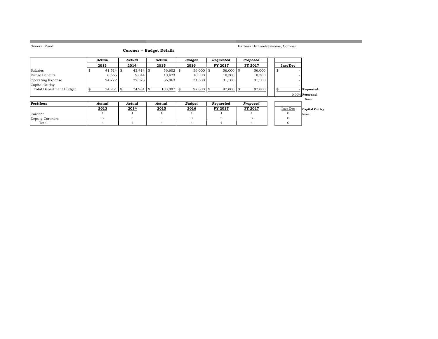**Contract** 

#### **Coroner -- Budget Details**

Barbara Bellino-Newsome, Coroner

|                                | Actual      | Actual      | Actual       | <b>Budget</b> | Requested      | Proposed       |                 |              |
|--------------------------------|-------------|-------------|--------------|---------------|----------------|----------------|-----------------|--------------|
|                                | 2013        | 2014        | 2015         | 2016          | <b>FY 2017</b> | <b>FY 2017</b> | Inc/Dec         |              |
| Salaries                       | $41,514$ \$ | $43,414$ \$ | 56,602 \$    | $56,000$ \$   | 56,000 \$      | 56,000         | ٨D              |              |
| Fringe Benefits                | 8,665       | 9,044       | 10.423       | 10,300        | 10,300         | 10,300         |                 |              |
| Operating Expense              | 24,772      | 22,523      | 36,063       | 31,500        | 31,500         | 31,500         |                 |              |
| Capital Outlay                 |             |             |              |               |                |                |                 |              |
| <b>Total Department Budget</b> | 74,951      | 74,981      | $103,087$ \$ | 97,800 \$     | 97,800 \$      | 97,800         |                 | - Requested: |
|                                |             |             |              |               |                |                | 0.00% Personnel |              |
|                                |             |             |              |               |                |                |                 |              |
| Positions                      | Actual      | Actual      | Actual       | Budget        | Requested      | Proposed       |                 |              |

| rosuuons        | Actual | Actual | Actual | Buaget | <i>reauestea</i> | rroposea       |         |                |
|-----------------|--------|--------|--------|--------|------------------|----------------|---------|----------------|
|                 | 2013   | 2014   | 2015   | 2016   | FY 2017          | <b>FY 2017</b> | Inc/Dec | Capital Outlay |
| Coroner         |        |        |        |        |                  |                |         | None           |
| Deputy Coroners |        |        |        |        |                  |                |         |                |
| Total           |        |        |        |        |                  |                |         |                |

a sa kacamatan ing Kabupatèn Kabupatèn Kabupatèn Kabupatèn Kabupatèn Kabupatèn Kabupatèn Kabupatèn Kabupatèn K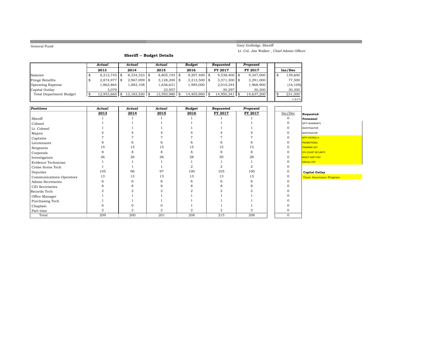**The State** 

#### Gary Gulledge, Sheriff Lt. Col. Jim Walker , Chief Admin Officer

1.61%

**Sheriff -- Budget Details**

|                          | Actual         | Actual           | Actual          | Budaet         | Reauested      | Proposed       |    |           |
|--------------------------|----------------|------------------|-----------------|----------------|----------------|----------------|----|-----------|
|                          | 2013           | 2014             | 2015            | 2016           | <b>FY 2017</b> | <b>FY 2017</b> |    | Inc/Dec   |
| Salaries                 | $8,212,745$ \$ | $8,334,323$ \$   | $8,805,193$ \$  | $9,207,400$ \$ | $9,538,400$ \$ | 9,347,000      | \$ | 139,600   |
| Fringe Benefits          | 2,874,977 \$   | $2,967,099$ \$   | $3,128,200$ \\$ | $3,213,500$ \$ | $3,371,300$ \$ | 3,291,000      |    | 77,500    |
| <b>Operating Expense</b> | 1,862,864      | 1.882.108        | 1,636,631       | 1.985.000      | 2,010,344      | 1,968,900      |    | (16, 100) |
| Capital Outlay           | 3.079          |                  | 23.957          |                | 30.297         | 30,300         |    | 30,300    |
| Total Department Budget  | 12.953.665     | $13.183.530$ \\$ | 13.593.980      | 14.405.900 \$  | 14.950.341     | 14.637.200     |    | 231,300   |
|                          |                |                  |                 |                |                |                |    |           |

| <b>Positions</b>         | Actual         | Actual | Actual         | <b>Budget</b>  | Requested | Proposed       |              |                           |
|--------------------------|----------------|--------|----------------|----------------|-----------|----------------|--------------|---------------------------|
|                          | 2013           | 2014   | 2015           | 2016           | FY 2017   | FY 2017        | Inc/Dec      | Requested:                |
| Sheriff                  |                |        |                |                |           |                | $\mathbf{O}$ | Personnel                 |
| Colonel                  |                |        |                |                |           |                |              | <b>DPTY WARRANTS</b>      |
| Lt. Colonel              |                |        |                |                |           |                |              | INVESTIGATOR              |
| Majors                   |                |        |                |                |           |                |              | <b>NVESTIGATOR</b>        |
| Captains                 |                |        |                |                |           |                |              | <b>DPTY PATROL-4</b>      |
| Lieutenants              |                |        |                | 6              |           |                |              | <b>PROMOTIONS:</b>        |
| Sergeants                | 15             | 15     | 15             | 15             | 15        | 15             | $\mathbf{O}$ | <b>TRAINING SGT</b>       |
| Corporals                |                |        | 8              | 8              | 8         | 8              | $\Omega$     | <b>CPL COURT SECURITY</b> |
| Investigators            | 26             | 26     | 26             | 28             | 30        | 28             | 0            | NIGHT SHIFT PAY           |
| Evidence Technician      |                |        |                |                |           |                |              | <b>ONCALL PAY</b>         |
| Crime Scene Tech         |                |        |                | $\overline{2}$ |           | $\overline{2}$ |              |                           |
| Deputies                 | 105            | 96     | 97             | 100            | 105       | 100            |              | <b>Capital Outlay</b>     |
| Communications Operators | 13             | 13     | 13             | 13             | 13        | 13             | 0            | Taser Assurance Program   |
| Admin Secretaries        | 6              |        | 6              | 6              | 6         |                |              |                           |
| CID Secretaries          |                |        |                |                |           |                |              |                           |
| Records Tech             |                |        |                |                |           |                |              |                           |
| Office Manager           |                |        |                |                |           |                |              |                           |
| Purchasing Tech          |                |        |                |                |           |                |              |                           |
| Chaplain                 |                |        |                |                |           |                |              |                           |
| Part-time                | $\overline{2}$ | 2      | $\overline{2}$ | $\overline{2}$ |           |                |              |                           |
| Total                    | 209            | 200    | 201            | 208            | 215       | 208            | $\mathbf{0}$ |                           |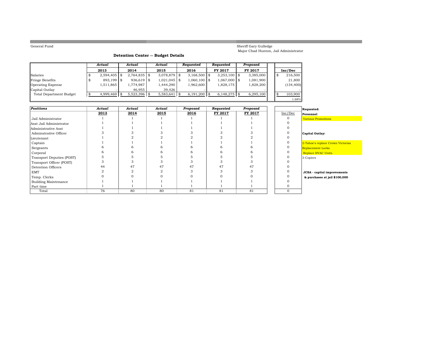**The State** 

#### Sheriff Gary Gulledge Major Chad Hunton, Jail Administrator

1.68%

a sa kacamatan ing Kabupatèn Kabupatèn Kabupatèn Kabupatèn Kabupatèn Kabupatèn Kabupatèn Kabupatèn Kabupatèn K

#### **Detention Center -- Budget Details**

|                                | Actual         |    | Actual         | Actual          | Reauested      | Reauested       | Proposed       |    |            |
|--------------------------------|----------------|----|----------------|-----------------|----------------|-----------------|----------------|----|------------|
|                                | 2013           |    | 2014           | 2015            | 2016           | <b>FY 2017</b>  | <b>FY 2017</b> |    | Inc/Dec    |
| Salaries                       | $2,594,405$ \$ |    | $2,764,835$ \$ | $3,078,879$ \$  | $3,168,500$ \$ | $3,253,100$ \$  | 3,385,000      | \$ | 216,500    |
| Fringe Benefits                | 893,199 \$     |    | $936,619$ \$   | $1,021,045$ \$  | $1,060,100$ \$ | $1,067,000$ \\$ | 1,081,900      |    | 21,800     |
| <b>Operating Expense</b>       | 1,511,865      |    | 1,774,987      | 1,444,290       | 1,962,600      | 1,828,175       | 1,828,200      |    | (134, 400) |
| Capital Outlay                 |                |    | 46.955         | 39.426          |                |                 |                |    |            |
| <b>Total Department Budget</b> | 4,999,469      | S. | $5,523,396$ \$ | $5,583,641$ \\$ | $6,191,200$ \$ | $6,148,275$ \\$ | 6,295,100      |    | 103,900    |
|                                |                |    |                |                 |                |                 |                |    | 68%        |

| <b>Positions</b>            | Actual | Actual | Actual | Proposed | Requested | Proposed |              | Requested:                         |
|-----------------------------|--------|--------|--------|----------|-----------|----------|--------------|------------------------------------|
|                             | 2013   | 2014   | 2015   | 2016     | FY 2017   | FY 2017  | Inc/Dec      | Personnel                          |
| Jail Administrator          |        |        |        |          |           |          |              | <b>Various Promotions</b>          |
| Asst Jail Administrator     |        |        |        |          |           |          |              |                                    |
| Administrative Asst         |        |        |        |          |           |          |              |                                    |
| Adminstrative Officer       |        |        |        |          |           |          |              | Capital Outlay:                    |
| Lieutenant                  |        |        |        |          |           |          |              |                                    |
| Captain                     |        |        |        |          |           |          |              | 2-Tahoe's replace Crown Victorias  |
| Sergeants                   |        |        |        |          |           |          |              | <b>Replacement Locks</b>           |
| Corporal                    |        |        |        |          |           |          |              | <b>Replace HVAC Units</b>          |
| Transport Deputies (POST)   |        |        |        |          |           |          |              | 3-Copiers                          |
| Transport Officer (POST)    | 3      |        |        |          |           |          |              |                                    |
| Detention Officers          | 44     | 47     | 47     | 47       | 47        | 47       |              |                                    |
| <b>EMT</b>                  |        | Ω      |        |          |           |          |              | <b>JCSA</b> - capital improvements |
| Temp. Clerks                |        |        |        |          |           |          |              | & purchases at jail \$100,000      |
| <b>Building Maintenance</b> |        |        |        |          |           |          |              |                                    |
| Part time                   |        |        |        |          |           |          |              |                                    |
| Total                       | 76     | 80     | 80     | 81       | 81        | 81       | $\mathbf{0}$ |                                    |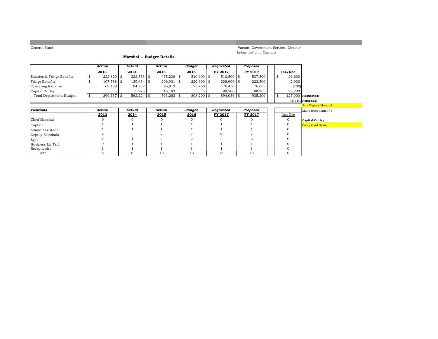Vacant, Government Services Director LeAnn Leholm, Captain

#### **Marshal -- Budget Details**

|                            | Actual        | Actual       | Actual       | Budget       | Reauested    | Proposed       |  |                      |
|----------------------------|---------------|--------------|--------------|--------------|--------------|----------------|--|----------------------|
|                            | 2013          | 2014         | 2015         | 2016         | FY 2017      | <b>FY 2017</b> |  | Inc/Dec              |
| Salaries & Fringe Benefits | 222.820 \$    | $322.533$ \$ | $475.238$ \$ | $510.900$ \$ | $510,500$ \$ | 537,500        |  | 26,600               |
| <b>Fringe Benefits</b>     | 107.788 \$    | $139.434$ \$ | $206,931$ \$ | $220.600$ \$ | $208.900$ \$ | 223,500        |  | 2,900                |
| Operating Expense          | 69.129        | 84.282       | 95.912       | 76.700       | 76.450       | 76,000         |  | (700)                |
| Capital Outlay             |               | 15.975       | 15.183       |              | 98.206       | 98.200         |  | 98.200               |
| Total Department Budget    | $399.737$ \\$ | $562,224$ \$ | 793,263 \$   | 808,200 \$   | 894.056 \$   | 935,200        |  | $127,000$ Requested: |

#### 15.71% **Personnel**

|                   |        |        |        |        |           |          |         |                | <u><math>\theta</math>-1-Deputy marsit</u> |
|-------------------|--------|--------|--------|--------|-----------|----------|---------|----------------|--------------------------------------------|
| <b>Positions</b>  | Actual | Actual | Actual | Budget | Requested | Proposed |         |                | Make receptionist                          |
|                   | 2013   | 2014   | 2015   | 2016   | FY 2017   | FY 2017  | Inc/Dec |                |                                            |
| Chief Marshal     |        |        |        |        |           |          |         | Capital Outlay |                                            |
| Captain           |        |        |        |        |           |          |         |                | <b>Proxy Card System</b>                   |
| Admin Assistant   |        |        |        |        |           |          |         |                |                                            |
| Deputy Marshals   |        |        |        |        | 10        |          |         |                |                                            |
| Sgt's             |        |        |        |        |           |          |         |                |                                            |
| Business Lic Tech |        |        |        |        |           |          |         |                |                                            |
| Receptionist      |        |        |        |        |           |          |         |                |                                            |
| Total             |        | 10     | 13     | 13     | 16        | 13       |         |                |                                            |

# <u>a</u><br>\_<mark>3-1- Deputy Marshal</mark> **Positions**<br>
<u>Positions</u>*<u>Actual</u> Proposed* Make receptionist FT **Capital Outlay**<br> **Capital Outlay**<br> **C** Proxy Card System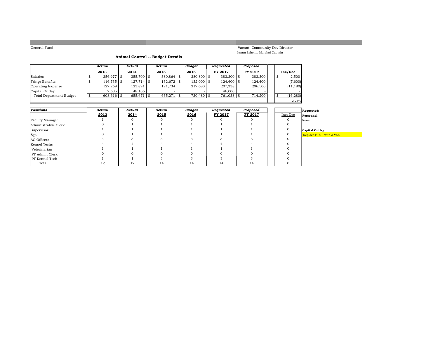Vacant, Community Dev Director LeAnn Leholm, Marshal Captain

#### **Animal Control -- Budget Details**

|                          | Actual       | Actual        | Actual       | <b>Budget</b> | Reauested    | Proposed       |  |           |
|--------------------------|--------------|---------------|--------------|---------------|--------------|----------------|--|-----------|
|                          | 2013         | 2014          | 2015         | 2016          | FY 2017      | <b>FY 2017</b> |  | Inc/Dec   |
| Salaries                 | $356,977$ \$ | 355,700 \$    | $380,864$ \$ | $380.800$ \$  | $383,300$ \$ | 383,300        |  | 2,500     |
| Fringe Benefits          | 116,735 \$   | $127,714$ \$  | 132,672 \$   | $132,000$ \$  | 124,400 \$   | 124,400        |  | (7,600)   |
| <b>Operating Expense</b> | 127,269      | 123,891       | 121,734      | 217,680       | 207,338      | 206,500        |  | (11, 180) |
| Capital Outlay           | 7.635        | 48.166        |              |               | 46,000       |                |  |           |
| Total Department Budget  | 608.616 \$   | $655.471$ \\$ | 635,271      | 730.480 \$    | 761,038 \$   | 714,200        |  | (16, 280) |
|                          |              |               |              |               |              |                |  | $-2.23%$  |

| Positions            | Actual | Actual | Actual | Budget | Requested | Proposed |         | Requested:              |
|----------------------|--------|--------|--------|--------|-----------|----------|---------|-------------------------|
|                      | 2013   | 2014   | 2015   | 2016   | FY 2017   | FY 2017  | Inc/Dec | Personnel               |
| Facility Manager     |        |        |        |        |           |          |         | None                    |
| Administrative Clerk |        |        |        |        |           |          |         |                         |
| Supervisor           |        |        |        |        |           |          |         | Capital Outlay          |
| Sgt.                 |        |        |        |        |           |          |         | Replace F150 with a Van |
| AC Officers          |        |        |        |        |           |          |         |                         |
| Kennel Techs         |        |        |        |        |           |          |         |                         |
| Veterinarian         |        |        |        |        |           |          |         |                         |
| PT Admin Clerk       |        |        |        |        |           |          |         |                         |
| PT Kennel Tech       |        |        |        |        |           |          |         |                         |
| Total                | 12     | 12     | 14     | 14     | 14        | 14       |         |                         |

|          | Requested:          |  |
|----------|---------------------|--|
| c/Dec    | Personnel           |  |
| $\Omega$ | None                |  |
| 0        |                     |  |
| 0        | Capital Outlay      |  |
| 0        | Replace F150 with a |  |
| 0        |                     |  |
| 0        |                     |  |
| ∩        |                     |  |

-2.23%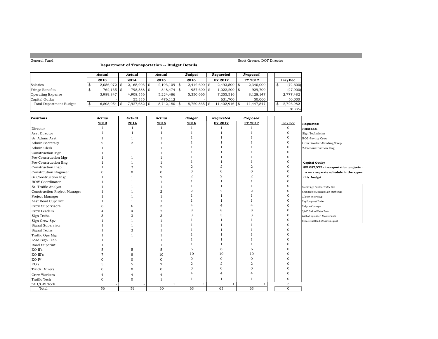#### **Department of Transportation -- Budget Details**

Scott Greene, DOT Director

|                                | Actual         | Actual         | Actual         | <b>Budget</b>      | Reauested        | Proposed       |           |          |
|--------------------------------|----------------|----------------|----------------|--------------------|------------------|----------------|-----------|----------|
|                                | 2013           | 2014           | 2015           | 2016               | <b>FY 2017</b>   | <b>FY 2017</b> | Inc/Dec   |          |
| Salaries                       | $2,056,072$ \$ | $2,165,203$ \$ | $2,193,109$ \$ | $2,412,600$ \$     | $2,493,500$ \$   | 2,340,000      |           | (72,600) |
| Fringe Benefits                | 762,135 \$     | 798,588 \$     | 848,474 \$     | 957,600 \$         | $1,022,200$ \$   | 929,700        |           | (27,900) |
| <b>Operating Expense</b>       | 3.989.847      | 4,908,556      | 5.224.486      | 5,350,665          | 7,255,516        | 8,128,147      | 2,777,482 |          |
| Capital Outlay                 |                | 55.335         | 476.112        |                    | 631.700          | 50,000         |           | 50,000   |
| <b>Total Department Budget</b> |                | $7,927,682$ \$ | $8,742,180$ \$ | $8.720.865$ \ \ \$ | $11.402.916$ \\$ | 11,447,847     | 2,726,982 |          |
|                                |                |                |                |                    |                  |                |           | 31.27%   |

| <b>Positions</b>             | <b>Actual</b>  | <b>Actual</b>  | Actual         | <b>Budget</b>  | Requested      | Proposed       |              |                                        |
|------------------------------|----------------|----------------|----------------|----------------|----------------|----------------|--------------|----------------------------------------|
|                              | 2013           | 2014           | 2015           | 2016           | FY 2017        | FY 2017        | Inc/Dec      | Requested:                             |
| Director                     | 1              | $\mathbf{1}$   | <sup>1</sup>   | $\mathbf{1}$   |                |                | $\mathbf 0$  | Personnel                              |
| Asst Director                |                | $\overline{1}$ | $\overline{1}$ |                |                |                | $\mathbf{O}$ | Sign Technician                        |
| Sr. Admin Asst               |                | $\overline{1}$ | -1             |                |                |                | $\mathbf 0$  | EO3-Paving Crew                        |
| Admin Secretary              | $\overline{2}$ | $\overline{2}$ |                |                |                |                | $\mathbf{O}$ | Crew Worker-Grading/Prep               |
| Admin Clerk                  |                |                |                |                |                |                | $\mathbf{O}$ | 2-Preconstruction Eng                  |
| Construction Mgr             |                |                |                |                |                |                | $\Omega$     |                                        |
| Pre-Construction Mgr         |                |                |                |                |                |                | $\Omega$     |                                        |
| Pre-Construction Eng         |                |                |                |                |                |                | $\Omega$     | <b>Capital Outlay</b>                  |
| Construction Insp            |                | $\overline{2}$ | $\overline{2}$ | $\overline{2}$ | $\overline{2}$ | $\overline{2}$ | $\Omega$     | SPLOST/CIP - transportation projects a |
| Constrcution Engineer        | $\Omega$       | $\Omega$       | $\mathbf{0}$   | 0              | $\mathbf{O}$   | $\mathbf{O}$   | $\Omega$     | a on a separate schedule in the appen  |
| Sr.Construction Insp         |                |                | $\overline{2}$ | $\overline{2}$ | $\overline{2}$ | $\overline{2}$ | $\Omega$     | this budget                            |
| ROW Coordinator              |                |                |                |                |                |                | $\Omega$     |                                        |
| Sr. Traffic Analyst          |                |                |                |                |                |                | $\mathbf 0$  | Traffic Sign Printer- Traffic Ops      |
| Construction Project Manager |                |                | $\overline{2}$ | 2              | $\overline{a}$ | $\overline{2}$ | $\mathbf{0}$ | Changeable Message Sign-Traffic Ops    |
| Project Manager              |                |                |                |                |                |                | $\mathbf{O}$ | 1/2 ton 4X4 Pickup                     |
| Asst Road Superint           |                |                |                |                |                |                | $\Omega$     | Tag Equipmet Trailer                   |
| Crew Supervisors             | 6              | 6              | 3              |                | $\overline{a}$ |                | $\Omega$     | Tailgate Conveyor                      |
| Crew Leaders                 |                |                | 7              | 8              | 8              | 8              | $\Omega$     | 5,000 Gallon Water Tank                |
| Sign Techs                   | 3              | 3              | 3              | 3              | 3              | 3              | $\Omega$     | Asphalt Spreader- Maintenance          |
| Sign Crew Spv                |                |                |                |                |                |                | $\Omega$     | Cedarcrest Road @ Graves signal        |
| Signal Supervisor            |                |                |                |                |                |                | $\Omega$     |                                        |
| Signal Techs                 |                | Ω              |                |                |                |                |              |                                        |
| Traffic Ops Mgr              |                |                |                |                |                |                |              |                                        |
| Lead Sign Tech               |                |                |                |                |                |                |              |                                        |
| Road Superint                |                |                |                |                |                |                |              |                                        |
| EO II's                      | 5              | 5              | 5              | 6              | 6              | 6              |              |                                        |
| EO III's                     |                | 8              | 10             | 10             | 10             | 10             |              |                                        |
| EO IV                        | O              | $\Omega$       | $\Omega$       | $\Omega$       | $\mathbf{0}$   | $\Omega$       |              |                                        |
| EO's                         | 5              | 5              | $\overline{2}$ | $\overline{2}$ | $\overline{a}$ | $\overline{2}$ |              |                                        |
| <b>Truck Drivers</b>         | $\Omega$       | $\Omega$       | $\Omega$       | $\Omega$       | $\Omega$       | $\mathbf{O}$   |              |                                        |
| Crew Workers                 |                |                |                |                | $\overline{4}$ |                |              |                                        |
| Traffic Tech                 | 0              | $\Omega$       | $\overline{1}$ |                |                |                | $\Omega$     |                                        |
| CAD/GIS Tech                 |                |                |                |                |                |                | $\mathbf{0}$ |                                        |
| Total                        | 56             | 59             | 60             | 63             | 63             | 63             | $\mathbf{O}$ |                                        |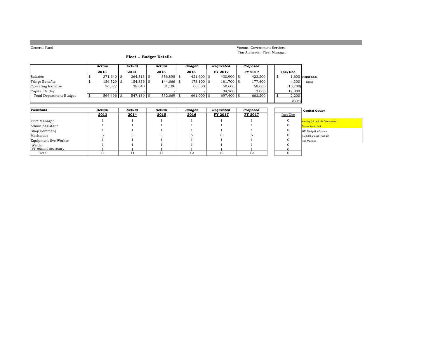Vacant, Government Services Tim Atcheson, Fleet Manager

#### **Fleet -- Budget Details**

|                          | Actual       | Actual        | Actual       | Budget          | Requested    | Proposed |   |          |                   |
|--------------------------|--------------|---------------|--------------|-----------------|--------------|----------|---|----------|-------------------|
|                          | 2013         | 2014          | 2015         | 2016            | FY 2017      | FY 2017  |   | Inc/Dec  |                   |
| Salaries                 | $371.640$ \$ | $364,313$ \$  | $356,898$ \$ | $421,600$ \$    | $430.900$ \$ | 423,200  | S |          | $1.600$ Personnel |
| Fringe Benefits          | 156,529 \$   | 154,836 \$    | 144,666 \$   | $173,100$ \$    | 181,700 \$   | 177.400  |   | 4.300    | None              |
| <b>Operating Expense</b> | 36,327       | 28,040        | 31,106       | 66,300          | 50,600       | 50,600   |   | (15,700) |                   |
| Capital Outlay           |              |               |              |                 | 34,200       | 12.000   |   | 12,000   |                   |
| Total Department Budget  | $564,496$ \$ | $547,189$ \\$ | $532,669$ \$ | $661,000$ \\ \$ | 697,400 \$   | 663,200  |   | 2,200    |                   |
|                          |              |               |              |                 |              |          |   | 0.33%    |                   |

| Positions            | Actual | Actual | Actual | Budget | Requested | Proposed |         | <b>Capital Outlay</b>           |
|----------------------|--------|--------|--------|--------|-----------|----------|---------|---------------------------------|
|                      | 2013   | 2014   | 2015   | 2016   | FY 2017   | FY 2017  | Inc/Dec |                                 |
| Fleet Manager        |        |        |        |        |           |          |         | Awning (oil tanks & Compressor) |
| Admin Assistant      |        |        |        |        |           |          |         | <b>Transmission Jack</b>        |
| Shop Foreman         |        |        |        |        |           |          |         | <b>GPS Navigation System</b>    |
| Mechanics            |        |        |        |        |           |          |         | 15,000lb 2 post Truck Lift      |
| Equipment Svc Worker |        |        |        |        |           |          |         | Tire Machine                    |
| Welder               |        |        |        |        |           |          |         |                                 |
| PT Admin Secretary   |        |        |        |        |           |          |         |                                 |
| Total                |        |        | 11     | 12     | 12        | 12       |         |                                 |

# ssion Jack

 $0.33\%$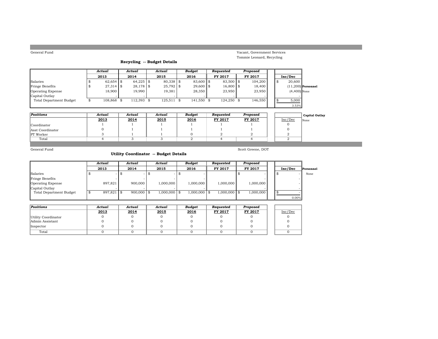| General Fund |  |
|--------------|--|
|              |  |

#### Vacant, Government Services Tommie Leonard, Recycling

#### **Recycling -- Budget Details**

|                                | Actual      | Actual      |    | Actual      | <b>Budget</b> | Reauested   | Proposed |  |                |                      |
|--------------------------------|-------------|-------------|----|-------------|---------------|-------------|----------|--|----------------|----------------------|
|                                | 2013        | 2014        |    | 2015        | 2016          | FY 2017     | FY 2017  |  | Inc/Dec        |                      |
| Salaries                       | $62.654$ \$ | $64.225$ \$ |    | 80,338 \$   | 83,600 \$     | 83,500 \$   | 104,200  |  | 20,600         |                      |
| <b>Fringe Benefits</b>         | $27.314$ \$ | $28.178$ \$ |    | $25,792$ \$ | $29,600$ \$   | $16,800$ \$ | 18.400   |  |                | $(11.200)$ Personnel |
| <b>Operating Expense</b>       | 18.900      | 19.990      |    | 19.381      | 28,350        | 23,950      | 23,950   |  | $(4,400)$ None |                      |
| Capital Outlay                 |             |             |    |             |               |             |          |  |                |                      |
| <b>Total Department Budget</b> | 108.868     | 112,393     | -8 | 125,511     | 141.550 \$    | 124,250 \$  | 146,550  |  | 5,000          |                      |
|                                |             |             |    |             |               |             |          |  | 3.53%          |                      |

| Positions        | Actual | Actual | Actual | <b>Budget</b> | Reauested | Proposed       |         | <b>Capital Outlay</b> |
|------------------|--------|--------|--------|---------------|-----------|----------------|---------|-----------------------|
|                  | 2013   | 2014   | 2015   | 2016          | FY 2017   | <b>FY 2017</b> | Inc/Dec | None                  |
| Coordinator      |        |        |        |               |           |                |         |                       |
| Asst Coordinator |        |        |        |               |           |                |         |                       |
| <b>PT</b> Worker |        |        |        |               |           |                |         |                       |
| Total            |        |        |        |               |           |                |         |                       |

General Fund

#### **Utility Coordinator -- Budget Details**

Scott Greene, DOT

|                                | Actual       | Actual       | Actual         | Budget         | Reauested      | Proposed  |          |           |
|--------------------------------|--------------|--------------|----------------|----------------|----------------|-----------|----------|-----------|
|                                | 2013         | 2014         | 2015           | 2016           | FY 2017        | FY 2017   | Inc/Dec  | Personnel |
| Salaries                       |              |              |                |                |                |           |          | None      |
| Fringe Benefits                |              |              |                |                |                |           |          |           |
| Operating Expense              | 897.821      | 900,000      | 1.000.000      | 1,000,000      | 1.000.000      | 1,000,000 |          |           |
| Capital Outlay                 |              |              |                |                |                |           |          |           |
| <b>Total Department Budget</b> | $897,821$ \$ | $900,000$ \$ | $1,000,000$ \$ | $1,000,000$ \$ | $1,000,000$ \$ | 1,000,000 |          |           |
|                                |              |              |                |                |                |           | $0.00\%$ |           |

| Positions           | Actual | Actual | Actual | Budget | Requested | Proposed |         |
|---------------------|--------|--------|--------|--------|-----------|----------|---------|
|                     | 2013   | 2014   | 2015   | 2016   | FY 2017   | FY 2017  | Inc/Dec |
| Utility Coordinator |        |        |        |        |           |          |         |
| Admin Assistant     |        |        |        |        |           |          |         |
| Inspector           |        |        |        |        |           |          |         |
| Total               |        |        |        |        |           |          |         |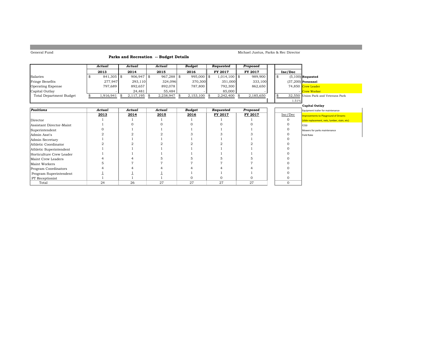#### Michael Justus, Parks & Rec Director

#### **Parks and Recreation -- Budget Details**

|                         | Actual       | Actual       | Actual       | <b>Budget</b>  | Requested      | Proposed  |         |                                     |
|-------------------------|--------------|--------------|--------------|----------------|----------------|-----------|---------|-------------------------------------|
|                         | 2013         | 2014         | 2015         | 2016           | FY 2017        | FY 2017   | Inc/Dec |                                     |
| Salaries                | $841,305$ \$ | $906.947$ \$ | $967,288$ \$ | 995,000 \$     | $1,014,100$ \$ | 989,900   |         | $(5,100)$ Requested                 |
| Fringe Benefits         | 277,947      | 293,110      | 324.096      | 370,300        | 351,000        | 333,100   |         | $(37,200)$ Personnel                |
| Operating Expense       | 797.689      | 892,657      | 892,078      | 787.800        | 792,300        | 862,650   |         | 74,850 Crew Leader                  |
| Capital Outlay          |              | 24.481       | 55.484       |                | 85,000         |           |         | - Crew Worker                       |
| Total Department Budget | 1.916.941    | 2.117.195 \$ | 2,238,947    | $2,153,100$ \$ | 2,242,400 \$   | 2.185.650 |         | 32.550 Union Park and Veterans Park |

# 1.51%

|                          |        |        |        |        |           |          |         | Capital Outlay                                |
|--------------------------|--------|--------|--------|--------|-----------|----------|---------|-----------------------------------------------|
| <b>Positions</b>         | Actual | Actual | Actual | Budget | Requested | Proposed |         | Equipment trailer for maintenance             |
|                          | 2013   | 2014   | 2015   | 2016   | FY 2017   | FY 2017  | Inc/Dec | <b>Improvements to Playground of Dreams</b>   |
| Director                 |        |        |        |        |           |          |         | (slide replacement, nets, lumber, stain, etc) |
| Assistant Director-Maint |        |        |        |        |           |          |         | F250                                          |
| Superintendent           |        |        |        |        |           |          |         | Mowers for parks maintenance                  |
| Admin Asst's             |        |        |        |        |           |          |         | Field Rake                                    |
| Admin Secretary          |        |        |        |        |           |          |         |                                               |
| Athletic Coordinator     |        |        |        |        |           |          |         |                                               |
| Athletic Superintendent  |        |        |        |        |           |          |         |                                               |
| Horticulture Crew Leader |        |        |        |        |           |          |         |                                               |
| Maint Crew Leaders       |        |        |        |        |           |          |         |                                               |
| Maint Workers            |        |        |        |        |           |          |         |                                               |
| Program Coordinators     |        |        |        |        |           |          |         |                                               |
| Program Superintendent   |        |        |        |        |           |          |         |                                               |
| PT Receptionist          |        |        |        |        |           |          |         |                                               |
| Total                    | 24     | 26     | 27     | 27     | 27        | 27       |         |                                               |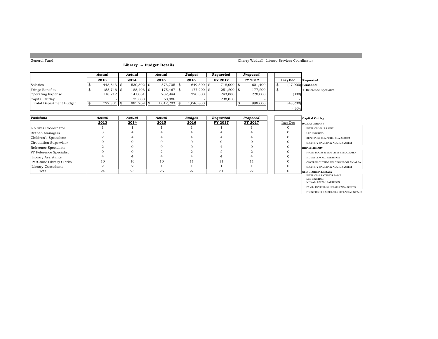#### **Library -- Budget Details**

#### Cherry Waddell, Library Services Coordinator

|                                | Actual       | Actual       | Actual         | Budget     | Reauested    | Proposed       |  |          |                        |
|--------------------------------|--------------|--------------|----------------|------------|--------------|----------------|--|----------|------------------------|
|                                | 2013         | 2014         | 2015           | 2016       | FY 2017      | <b>FY 2017</b> |  | Inc/Dec  | Requested              |
| Salaries                       | $448.843$ \$ | $530,802$ \$ | $573,705$ \$   | 649,300 \$ | 718,000 \$   | 601,400        |  |          | $(47.900)$ Personnel   |
| Fringe Benefits                | 155,746 \$   | 188,406 \$   | 175.467 \$     | 177.200 \$ | $251,200$ \$ | 177,200        |  |          | 4 Reference Specialist |
| <b>Operating Expense</b>       | 118.212      | 141,061      | 202.944        | 220,300    | 243,880      | 220,000        |  | (300)    |                        |
| Capital Outlay                 |              | 25.000       | 60.086         |            | 238,050      |                |  |          |                        |
| <b>Total Department Budget</b> | $722,801$ \$ | 885,269 \$   | $1,012,203$ \$ | 1,046,800  |              | 998,600        |  | (48,200) |                        |
|                                |              |              |                |            |              |                |  | $-4.60%$ |                        |

| Positions                      | Actual | Actual | Actual | <b>Budget</b> | Requested | Proposed |         | Capital Outlay                       |
|--------------------------------|--------|--------|--------|---------------|-----------|----------|---------|--------------------------------------|
|                                | 2013   | 2014   | 2015   | 2016          | FY 2017   | FY 2017  | Inc/Dec | <b>DALLAS LIBRARY</b>                |
| Lib Sycs Coordinator           |        |        |        |               |           |          |         | <b>INTERIOR WALL PAINT</b>           |
| Branch Managers                |        |        |        |               |           |          |         | LED LIGHTING                         |
| Children's Specialists         |        |        |        |               |           |          |         | REPURPOSE COMPUTER CLASSROOM         |
| Circulation Supervisor         |        |        |        |               |           |          |         | SECURITY CAMERA & ALARM SYSTEM       |
| Reference Specialists          |        |        |        |               |           |          |         | <b>HIRAM LIBRARY</b>                 |
| <b>PT</b> Reference Specialist |        |        |        |               |           |          |         | FRONT DOORS & SIDE LITES REPLACEMENT |
| Library Assistants             |        |        |        |               |           |          |         | MOVABLE WALL PARTITION               |
| Part-time Library Clerks       | 10     | 10     | 10     |               |           | 11       |         | COVERED OUTSIDE READING/PROGRAM AREA |
| Library Custodians             |        |        |        |               |           |          |         | SECURITY CAMERA & ALARM SYSTEM       |
| Total                          | 24     | 25     | 26     | 27            | 31        | 27       |         | <b>NEW GEORGIA LIBRARY</b>           |

|      | <b>Capital Outlay</b>                |
|------|--------------------------------------|
| /Dec | DALLAS LIBRARY                       |
| 0    | <b>INTERIOR WALL PAINT</b>           |
| 0    | <b>LED LIGHTING</b>                  |
| 0    | REPURPOSE COMPUTER CLASSROOM         |
| 0    | SECURITY CAMERA & ALARM SYSTEM       |
| 0    | <b>HIRAM LIBRARY</b>                 |
| 0    | FRONT DOORS & SIDE LITES REPLACEMENT |
| 0    | MOVABLE WALL PARTITION               |
| 0    | COVERED OUTSIDE READING/PROGRAM AREA |
| 0    | SECURITY CAMERA & ALARM SYSTEM       |
| 0    | NEW GEORGIA LIBRARY                  |
|      | <b>INTERIOR &amp; EXTERIOR PAINT</b> |
|      | <b>LED LIGHTING</b>                  |
|      | MOVABLE WALL PARTITION               |
|      |                                      |

FRONT DOOR & SIDE LITES REPLACEMENT & GU

PAVILLION CEILNG REPAIRS/ADA ACCESS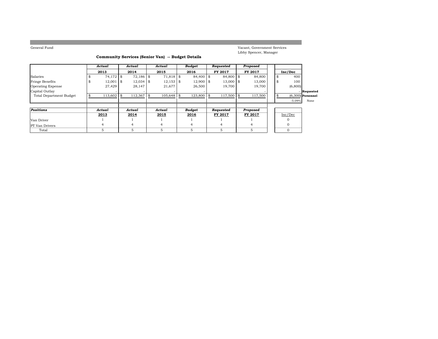Vacant, Government Services Libby Spencer, Manager

#### **Community Services (Senior Van) -- Budget Details**

|                                | Actual      |     | Actual      | Actual        | Budget       | Requested |      | Proposed |    |          |                     |
|--------------------------------|-------------|-----|-------------|---------------|--------------|-----------|------|----------|----|----------|---------------------|
|                                | 2013        |     | 2014        | 2015          | 2016         | FY 2017   |      | FY 2017  |    | Inc/Dec  |                     |
| Salaries                       | 74.172 \$   |     | 72.186 \$   | 71,818 \$     | 84,400 \$    | 84,800 \$ |      | 84,800   | \$ | 400      |                     |
| Fringe Benefits                | $12,001$ \$ |     | $12,034$ \$ | $12,153$ \$   | $12,900$ \$  | 13,000    | l \$ | 13,000   | \$ | 100      |                     |
| <b>Operating Expense</b>       | 27,429      |     | 28,147      | 21,677        | 26,500       | 19,700    |      | 19,700   |    | (6,800)  |                     |
| Capital Outlay                 |             |     |             |               |              |           |      |          |    |          | Requested           |
| <b>Total Department Budget</b> | 113,602     | -\$ | 112,367     | \$<br>105.648 | $123.800$ \$ | 117,500   |      | 117,500  | \$ |          | $(6,300)$ Personnel |
|                                |             |     |             |               |              |           |      |          |    | $-5.09%$ | None                |
|                                |             |     |             |               |              |           |      |          |    |          |                     |
| Positions                      | Actual      |     | Actual      | Actual        | Budget       | Requested |      | Proposed |    |          |                     |
|                                | 2013        |     | 2014        | 2015          | 2016         | FY 2017   |      | FY 2017  |    | Inc/Dec  |                     |
| Van Driver                     |             |     |             |               |              |           |      |          |    |          |                     |
| <b>PT</b> Van Drivers          |             |     | 4           | 4             | 4            | 4         |      | 4        |    |          |                     |
| Total                          | 5           |     | 5           | 5             |              | 5         |      | 5        |    | 0        |                     |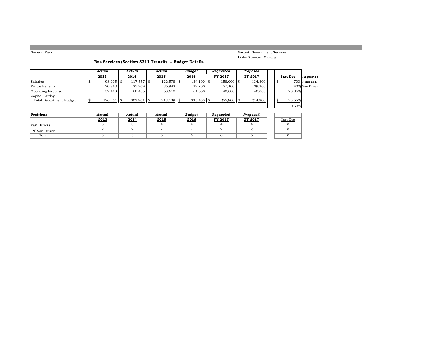Vacant, Government Services Libby Spencer, Manager

#### **Bus Services (Section 5311 Transit) -- Budget Details**

|                          | Actual      | Actual       | Actual       | Budget       | Requested    | Proposed |      |           |                    |
|--------------------------|-------------|--------------|--------------|--------------|--------------|----------|------|-----------|--------------------|
|                          | 2013        | 2014         | 2015         | 2016         | FY 2017      | FY 2017  |      | Inc/Dec   | Requested          |
| Salaries                 | $98,005$ \$ | 117,557 \$   | $122,578$ \$ | $134,100$ \$ | 158,000 \$   | 134,800  | - \$ |           | 700 Personnel      |
| Fringe Benefits          | 20,843      | 25,969       | 36.942       | 39,700       | 57.100       | 39,300   |      |           | $(400)$ Van Driver |
| <b>Operating Expense</b> | 57,413      | 60.435       | 53.618       | 61,650       | 40,800       | 40,800   |      | (20, 850) |                    |
| Capital Outlay           |             |              |              |              |              |          |      |           |                    |
| Total Department Budget  | 176,261     | $203,961$ \$ | $213,139$ \$ | $235,450$ \$ | $255,900$ \$ | 214,900  |      | (20, 550) |                    |
|                          |             |              |              |              |              |          |      | $-8.73%$  |                    |

| Positions     | Actual | Actual | Actual | <b>Budaet</b> | Reauested | Proposed |         |
|---------------|--------|--------|--------|---------------|-----------|----------|---------|
|               | 2013   | 2014   | 2015   | 2016          | FY 2017   | FY 2017  | Inc/Dec |
| Van Drivers   |        |        |        |               |           |          |         |
| PT Van Driver |        |        |        |               |           |          |         |
| Total         |        |        |        |               |           |          |         |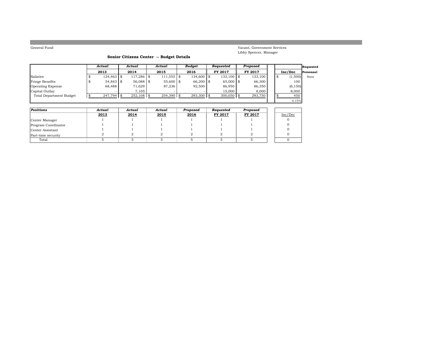Vacant, Government Services Libby Spencer, Manager

#### **Senior Citizens Center -- Budget Details**

|                          | Actual       | Actual     | Actual        | Budget       | Requested      | Proposed       |    |          | Requested |
|--------------------------|--------------|------------|---------------|--------------|----------------|----------------|----|----------|-----------|
|                          | 2013         | 2014       | 2015          | 2016         | <b>FY 2017</b> | <b>FY 2017</b> |    | Inc/Dec  | Personnel |
| Salaries                 | 124,463 \$   | 117.286 \$ | $111,555$ \\$ | 134,600 \$   | $133,100$ \$   | 133,100        | \$ | (1,500)  | None      |
| Fringe Benefits          | 54,843 \$    | 56,088 \$  | $55,600$ \$   | 66,200 \$    | $65,000$ \$    | 66,300         |    | 100      |           |
| <b>Operating Expense</b> | 68,488       | 71,629     | 87.236        | 92,500       | 86,950         | 86,350         |    | (6, 150) |           |
| Capital Outlay           |              | 7.105      |               |              | 15,000         | 8,000          |    | 8,000    |           |
| Total Department Budget  | $247,794$ \$ | 252,108    | $254,390$ \$  | $293,300$ \$ | 300,050        | 293,750        |    | 450      |           |
|                          |              |            |               |              |                |                |    | 0.15%    |           |

| Positions           | Actual | Actual | Actual | Proposed | Requested | Proposed |         |
|---------------------|--------|--------|--------|----------|-----------|----------|---------|
|                     | 2013   | 2014   | 2015   | 2016     | FY 2017   | FY 2017  | Inc/Dec |
| Center Manager      |        |        |        |          |           |          |         |
| Program Coordinator |        |        |        |          |           |          |         |
| Center Assistant    |        |        |        |          |           |          |         |
| Part-time security  |        |        |        |          |           |          |         |
| Total               |        |        |        |          |           |          |         |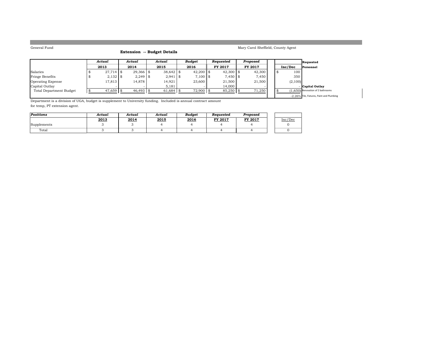#### **Extension -- Budget Details**

| Mary Carol Sheffield, County Agent |  |
|------------------------------------|--|
|------------------------------------|--|

|                                | Actual      |  | Actual          |  | Actual      |  | Budget      | Reauested   | Proposed       |         | Requested                                 |
|--------------------------------|-------------|--|-----------------|--|-------------|--|-------------|-------------|----------------|---------|-------------------------------------------|
|                                | 2013        |  | 2014            |  | 2015        |  | 2016        | FY 2017     | <b>FY 2017</b> | Inc/Dec | Personnel                                 |
| Salaries                       | 27,714 \$   |  | $29,366$ \$     |  | $38,642$ \$ |  | $42,200$ \$ | $42,300$ \$ | 42,300         | 100     |                                           |
| Fringe Benefits                | $2,132$ \$  |  | $2,249$ \$      |  | 2,941       |  | $7,100$ \$  | $7,450$ \\$ | 7,450          | 350     |                                           |
| <b>Operating Expense</b>       | 17,813      |  | 14.878          |  | 14,921      |  | 23,600      | 21,500      | 21.500         | (2,100) |                                           |
| Capital Outlay                 |             |  |                 |  | 5,181       |  |             | 14.000      |                |         | - Capital Outlav                          |
| <b>Total Department Budget</b> | $47.659$ \$ |  | $46.493$ \ \ \$ |  | 61,684 \$   |  | $72.900$ \$ | 85,250 \$   | 71,250         |         | (1.650) Renovation of 2 bathrooms         |
|                                |             |  |                 |  |             |  |             |             |                |         | -2.26% Tile, Fixtures, Paint and Plumbing |

Department is a division of UGA, budget is supplement to University funding. Included is annual contract amount for temp, PT extension agent.

| Positions   | Actual | Actual | Actual | <b>Budaet</b> | Reauested | Proposed       |         |
|-------------|--------|--------|--------|---------------|-----------|----------------|---------|
|             | 2013   | 2014   | 2015   | 2016          | FY 2017   | <b>FY 2017</b> | Inc/Dec |
| Supplements |        |        |        |               |           |                |         |
| Total       |        |        |        |               |           |                |         |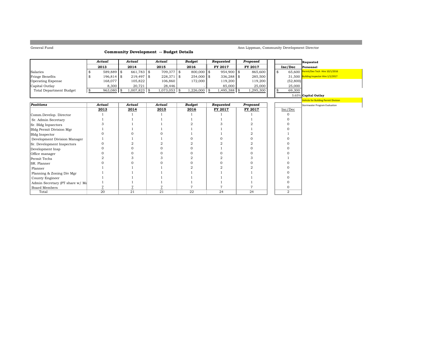$\mathbb{L}$ 

#### **Community Development -- Budget Details**

Ann Lippman, Community Development Director

|                                 | Actual     | Actual         | Actual         | <b>Budget</b>  | Requested    | Proposed  |                | Requested                                   |
|---------------------------------|------------|----------------|----------------|----------------|--------------|-----------|----------------|---------------------------------------------|
|                                 | 2013       | 2014           | 2015           | 2016           | FY 2017      | FY 2017   | Inc/Dec        | Personnel                                   |
| Salaries                        | 589,889 \$ | 661,783 \$     | 709,377 \$     | 800,000 \$     | 954,900 \$   | 865,600   | \$<br>65,600   | Permit/Dev Tech Hire 10/1/2016              |
| Fringe Benefits                 | 196,814 \$ | 219,497 \$     | $228,371$ \$   | 254,000 \$     | $336,288$ \$ | 285,500   |                | 31,500 Building Inspector Hire 1/1/2017     |
| <b>Operating Expense</b>        | 168,077    | 105,822        | 106,860        | 172,000        | 119,200      | 119,200   | (52, 800)      |                                             |
| Capital Outlay                  | 8,300      | 20,721         | 28,446         |                | 85,000       | 25,000    | 25,000         |                                             |
| <b>Total Department Budget</b>  | 963,080 \$ | $1,007,823$ \$ | $1,073,053$ \$ | $1,226,000$ \$ | 1,495,388 \$ | 1,295,300 | 69,300<br>\$   |                                             |
|                                 |            |                |                |                |              |           |                | 5.65% Capital Outlay                        |
|                                 |            |                |                |                |              |           |                | <b>Vehicle for Building Permit Division</b> |
| Positions                       | Actual     | Actual         | Actual         | <b>Budget</b>  | Requested    | Proposed  |                | Stormwater Program Evaluation               |
|                                 | 2013       | 2014           | 2015           | 2016           | FY 2017      | FY 2017   | Inc/Dec        |                                             |
| Comm.Develop. Director          |            |                |                |                |              |           |                |                                             |
| Sr. Admin Secretary             |            |                |                |                |              |           |                |                                             |
| Sr. Bldg Inpsectors             |            |                |                |                |              |           |                |                                             |
| <b>Bldg Permit Division Mgr</b> |            |                |                |                |              |           |                |                                             |
| <b>Bldg Inspector</b>           |            |                |                |                |              |           |                |                                             |
| Development Division Manager    |            |                |                |                |              |           |                |                                             |
| Sr. Development Inspectors      |            |                |                |                |              |           |                |                                             |
| Development Insp                |            |                |                |                |              |           |                |                                             |
| Office manager                  |            |                |                |                |              |           |                |                                             |
| Permit Techs                    |            |                |                |                |              |           |                |                                             |
| SR. Planner                     |            |                |                |                |              |           |                |                                             |
| Planner                         |            |                |                |                |              |           |                |                                             |
| Planning & Zoning Div Mgr       |            |                |                |                |              |           |                |                                             |
| County Engineer                 |            |                |                |                |              |           |                |                                             |
| Admin Secretary (PT share w/ Ma |            |                |                |                |              |           |                |                                             |
| <b>Board Members</b>            |            |                |                |                |              |           |                |                                             |
| Total                           | 20         | 21             | 21             | 22             | 24           | 24        | $\overline{2}$ |                                             |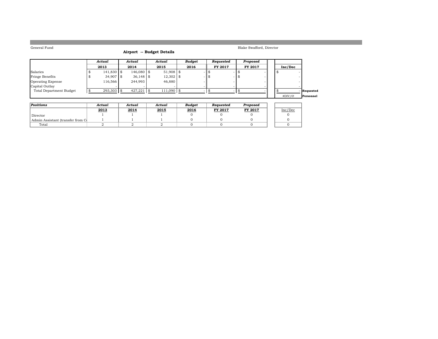#### **Airport -- Budget Details**

|                                | Actual       | Actual       | Actual      | Budget |      | Requested      |    | Proposed |  |         |           |
|--------------------------------|--------------|--------------|-------------|--------|------|----------------|----|----------|--|---------|-----------|
|                                | 2013         | 2014         | 2015        | 2016   |      | <b>FY 2017</b> |    | FY 2017  |  | Inc/Dec |           |
| Salaries                       | $141,830$ \$ | $146,080$ \$ | $51,908$ \$ | - ത    |      |                |    |          |  |         |           |
| Fringe Benefits                | 34,907 \$    | $36.148$ \$  | $12,302$ \$ |        | -156 |                | Ñ. |          |  |         |           |
| Operating Expense              | 116.566      | 244.993      | 46.880      |        |      |                |    |          |  |         |           |
| Capital Outlay                 |              |              |             |        |      |                |    |          |  |         |           |
| <b>Total Department Budget</b> | $293,303$ \$ | $427,221$ \$ | 111,090 \$  |        |      |                |    |          |  |         | Requested |
|                                |              |              |             |        |      |                |    |          |  | #DIV/0! | Personnel |

| Positions                         | Actual | Actual | Actual | Budaet | Reauested | Proposed       |         |
|-----------------------------------|--------|--------|--------|--------|-----------|----------------|---------|
|                                   | 2013   | 2014   | 2015   | 2016   | FY 2017   | <b>FY 2017</b> | Inc/Dec |
| Director                          |        |        |        |        |           |                |         |
| Admin Assistant (transfer from Cl |        |        |        |        |           |                |         |
| Total                             |        |        |        |        |           |                |         |

Blake Swafford, Director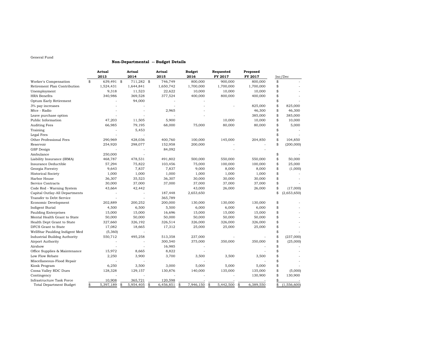#### **Non-Departmental -- Budget Details**

|                                     | Actual<br>2013  | Actual<br>2014   | Actual<br>2015  | <b>Budget</b><br>2016 | Requested<br>FY 2017 | Proposed<br>FY 2017 | Inc/Dec           |
|-------------------------------------|-----------------|------------------|-----------------|-----------------------|----------------------|---------------------|-------------------|
| Worker's Compensation               | \$<br>639,491   | \$<br>711,282 \$ | 746,749         | 800,000               | 900,000              | 800,000             | \$                |
| Retirement Plan Contribution        | 1,524,431       | 1,644,841        | 1,650,742       | 1,700,000             | 1,700,000            | 1,700,000           | \$                |
| Unemployment                        | 9,318           | 11,523           | 22,622          | 10,000                | 10,000               | 10,000              | \$                |
| <b>HRA</b> Benefits                 | 340,986         | 369,528          | 377,524         | 400,000               | 800,000              | 400,000             | \$                |
| Optum Early Retirement              |                 | 94,000           |                 |                       |                      |                     | \$                |
| 3% pay increases                    |                 |                  |                 |                       |                      | 825,000             | \$<br>825,000     |
| Mtce - Radio                        |                 |                  | 2,965           |                       |                      | 46,300              | \$<br>46,300      |
| Leave purchase option               |                 |                  |                 |                       |                      | 385,000             | \$<br>385,000     |
| Public Information                  | 47,203          | 11,505           | 5,900           |                       | 10,000               | 10,000              | \$<br>10,000      |
| <b>Auditing Fees</b>                | 66,985          | 79,195           | 68,000          | 75,000                | 80,000               | 80,000              | \$<br>5,000       |
| Training                            |                 | 5,453            |                 |                       |                      |                     | \$                |
| Legal Fees                          |                 |                  |                 |                       |                      |                     | \$                |
| Other Professional Fees             | 290,969         | 428,036          | 400,760         | 100,000               | 145,000              | 204,850             | \$<br>104,850     |
| Reservoir                           | 254,920         | 298,077          | 152,958         | 200,000               |                      |                     | \$<br>(200,000)   |
| <b>GSP</b> Design                   |                 |                  | 84,092          |                       |                      |                     |                   |
| Ambulance                           | 250,000         |                  |                 |                       |                      |                     | \$                |
| Liability Insurance (IRMA)          | 468,787         | 478,531          | 491,802         | 500,000               | 550,000              | 550,000             | \$<br>50,000      |
| Insurance Deductible                | 57,294          | 75,822           | 103,456         | 75,000                | 100,000              | 100,000             | \$<br>25,000      |
| Georgia Forestry                    | 9,643           | 7,837            | 7,837           | 9,000                 | 8,000                | 8,000               | \$<br>(1,000)     |
| <b>Historical Society</b>           | 1,000           | 1,000            | 1,000           | 1,000                 | 1,000                | 1,000               | \$                |
| Harbor House                        | 36,307          | 35,523           | 36,307          | 30,000                | 30,000               | 30,000              | \$                |
| Service Contracts                   | 30,000          | 37,000           | 37,000          | 37,000                | 37,000               | 37,000              | \$                |
| Code Red - Warning System           | 43,664          | 42,442           |                 | 43,000                | 26,000               | 26,000              | \$<br>(17,000)    |
| Capital Outlay-All Departments      |                 |                  | 187,448         | 2,653,650             |                      |                     | \$<br>(2,653,650) |
| Transfer to Debt Service            |                 |                  | 365,789         |                       |                      |                     |                   |
| Economic Development                | 202,889         | 200,252          | 200,000         | 130,000               | 130,000              | 130,000             | \$                |
| Indigent Burial                     | 4,500           | 6,500            | 5,500           | 6,000                 | 6,000                | 6,000               | \$                |
| <b>Paulding Enterprises</b>         | 15,000          | 15,000           | 16,696          | 15,000                | 15,000               | 15,000              | \$                |
| Mental Health Grant to State        | 50,000          | 50,000           | 50,000          | 50,000                | 50,000               | 50,000              | \$                |
| Health Dept Grant to State          | 327,660         | 326,192          | 326,514         | 326,000               | 326,000              | 326,000             | \$                |
| DFCS Grant to State                 | 17,082          | 18,665           | 17,312          | 25,000                | 25,000               | 25,000              | \$                |
| WellStar Paulding Indigent Med      | (5,360)         |                  |                 |                       |                      |                     | \$                |
| <b>Industrial Buildng Authority</b> | 550,712         | 495,258          | 513,358         | 237,000               |                      |                     | \$<br>(237,000)   |
| Airport Authority                   |                 |                  | 300,540         | 375,000               | 350,000              | 350,000             | \$<br>(25,000)    |
| Airshow                             |                 |                  | 16,985          |                       |                      |                     | \$                |
| Office Supplies & Maintenance       | 15,972          | 8,665            | 8,822           |                       |                      |                     | \$                |
| Low Flow Rebate                     | 2,250           | 3,900            | 3,700           | 3,500                 | 3,500                | 3,500               | \$                |
| Miscellaneous-Flood Repair          |                 |                  |                 |                       |                      |                     | \$                |
| Kiosk Program                       | 6,250           | 3,500            | 3,000           | 5,000                 | 5,000                | 5,000               | \$                |
| Coosa Valley RDC Dues               | 128,328         | 129,157          | 130,876         | 140,000               | 135,000              | 135,000             | \$<br>(5,000)     |
| Contingency                         |                 |                  |                 |                       |                      | 130,900             | \$<br>130,900     |
| Infrastructure Task Force           | 10,908          | 365,721          | 120,598         |                       |                      |                     | \$                |
| Total Department Budget             | \$<br>5,397,189 | \$<br>5,954,405  | \$<br>6,456,851 | \$<br>7,946,150       | \$<br>5,442,500      | \$<br>6,389,550     | \$<br>(1,556,600) |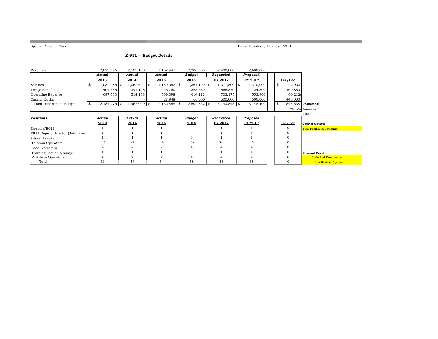**College** 

Special Revenue Fund David Mumford, Director E-911

and the control of the control of the control of the control of the

#### **E-911 -- Budget Details**

| Revenues                        | 2,023,626            | 2,187,100      | 2,167,447       | 2,200,000      | 2,400,000      | 2,600,000 |           |                                    |
|---------------------------------|----------------------|----------------|-----------------|----------------|----------------|-----------|-----------|------------------------------------|
|                                 | Actual               | Actual         | Actual          | <b>Budget</b>  | Requested      | Proposed  |           |                                    |
|                                 | 2013                 | 2014           | 2015            | 2016           | FY 2017        | FY 2017   | Inc/Dec   |                                    |
| Salaries                        | 1,082,086 \$<br>\$   | $1,062,644$ \$ | $1,139,052$ \\$ | $1,367,100$ \$ | 1,371,500 \$   | 1,370,000 | 2,900     |                                    |
| <b>Fringe Benefits</b>          | 404,656              | 391,128        | 426,760         | 563,650        | 565,870        | 724,500   | 160,850   |                                    |
| <b>Operating Expense</b>        | 697,533              | 514,138        | 569,098         | 614,112        | 703,175        | 553,900   | (60, 212) |                                    |
| Capital Outlay                  |                      |                | 27,948          | 60,000         | 500,000        | 500,000   | 440,000   |                                    |
| <b>Total Department Budget</b>  | $2,184,276$ \$<br>\$ | 1,967,909 \$   | $2,162,858$ \$  | $2,604,862$ \$ | $3,140,545$ \$ | 3,148,400 |           | 543,538 Requested:                 |
|                                 |                      |                |                 |                |                |           |           | 20.87% Personnel                   |
|                                 |                      |                |                 |                |                |           |           | None                               |
| <b>Positions</b>                | Actual               | Actual         | Actual          | <b>Budget</b>  | Requested      | Proposed  |           |                                    |
|                                 | 2013                 | 2014           | 2015            | 2016           | FY 2017        | FY 2017   | Inc/Dec   | Capital Outlay:                    |
| Director/E911                   |                      |                |                 |                |                |           |           | <b>New Facility &amp; Equipmet</b> |
| E911 Deputy Director (database) |                      |                |                 |                |                |           |           |                                    |
| Admin Assistant                 |                      |                |                 |                |                |           |           |                                    |
| Telecom Operators               | 22                   | 24             | 24              | 26             | 26             | 26        |           |                                    |
| Lead Operators                  |                      |                |                 |                |                |           |           |                                    |
| Training Section Manager        |                      |                |                 |                |                |           |           | <b>General Fund:</b>               |
| Part-time Operators             |                      |                |                 |                |                |           |           | <b>Code Red Emergency</b>          |
| Total                           | 31                   | 34             | 34              | 38             | 38             | 38        |           | <b>Notification System</b>         |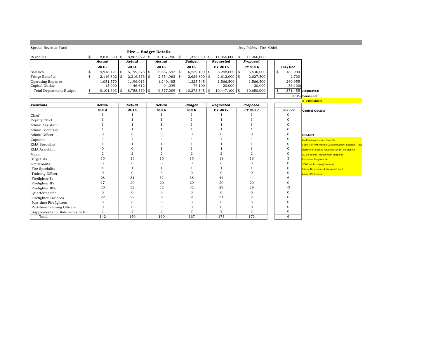| Special Revenue Fund             |                      |                        |                 |            |                 |                             | Joey Pelfrey, Fire Chief |               |                                                         |
|----------------------------------|----------------------|------------------------|-----------------|------------|-----------------|-----------------------------|--------------------------|---------------|---------------------------------------------------------|
|                                  |                      | Fire -- Budget Details |                 |            |                 |                             |                          |               |                                                         |
| Revenues                         | \$<br>8,810,590 \$   | 8,807,322 \$           | 10,157,246 \$   |            |                 | 11,373,000 \$ 11,966,000 \$ | 11.966.000               |               |                                                         |
|                                  | Actual               | Actual                 | Actual          |            | <b>Budget</b>   | Requested                   | Proposed                 |               |                                                         |
|                                  | 2013                 | 2014                   | 2015            |            | 2016            | FY 2016                     | FY 2016                  | Inc/Dec       |                                                         |
| Salaries                         | \$<br>$4,918,121$ \$ | $5,199,578$ \$         | 5,687,542       | \$         | $6,252,100$ \$  | $6,248,600$ \$              | 6,436,000                | \$<br>183,900 |                                                         |
| Fringe Benefits                  | \$<br>$2,116,802$ \$ | $2,316,376$ \$         | 2,554,963       | $\vert$ \$ | $2,624,800$ \$  | $2,612,000$ \$              | 2,627,500                | 2,700         |                                                         |
| <b>Operating Expense</b>         | 1,051,770            | 1,196,013              | 1,240,485       |            | 1,325,545       | 1,566,500                   | 1,566,500                | 240,955       |                                                         |
| Capital Outlay                   | 15,000               | 46,612                 | 94,099          |            | 76,100          | 20,000                      | 20,000                   | (56, 100)     |                                                         |
| <b>Total Department Budget</b>   | \$<br>$8,101,693$ \$ | 8,758,579              | \$<br>9,577,089 | \$         | $10,278,545$ \$ | $10,447,100$ \$             | 10,650,000               | \$            | 371,455 Requested:                                      |
|                                  |                      |                        |                 |            |                 |                             |                          |               | 3.61% Personnel                                         |
|                                  |                      |                        |                 |            |                 |                             |                          |               | 6- Firefighters                                         |
| <b>Positions</b>                 | Actual               | Actual                 | Actual          |            | <b>Budget</b>   | Requested                   | <b>Proposed</b>          |               |                                                         |
|                                  | 2013                 | 2014                   | 2015            |            | 2016            | FY 2017                     | FY 2017                  | Inc/Dec       | Capital Outlay:                                         |
| Chief                            |                      | $\overline{1}$         | $\overline{1}$  |            |                 |                             |                          | $\mathbf{0}$  |                                                         |
| Deputy Chief                     |                      |                        | -1              |            |                 |                             |                          | $\Omega$      |                                                         |
| Admin Assistant                  |                      |                        |                 |            |                 |                             |                          | $\Omega$      |                                                         |
| Admin Secretary                  |                      |                        |                 |            |                 |                             |                          | $\Omega$      |                                                         |
| Admin Officer                    |                      | $\Omega$               | $\Omega$        |            | 0               | $\Omega$                    | $\Omega$                 | $\mathbf{0}$  | <b>SPLOST</b>                                           |
| Captains                         |                      |                        | 4               |            |                 |                             | 4                        | $\mathbf 0$   | Ford Explorer-Division Chief Car                        |
| EMA Specialist                   |                      |                        |                 |            |                 |                             |                          | $\mathbf 0$   | F250 4-d//4wd (camper & slide out tray) Battalion Truck |
| EMA Assistant                    |                      | $\mathbf{0}$           |                 |            |                 |                             |                          | $\mathbf 0$   | Radio Alert Backup Antennas for all Fire Stations       |
| Major                            | $\overline{2}$       | $\overline{2}$         | $\overline{2}$  |            | $\overline{2}$  | $\overline{2}$              | $\overline{a}$           | $\mathbf{0}$  | <b>SCBA Bottles (replacement program)</b>               |
| Sergeants                        | 15                   | 15                     | 15              |            | 15              | 18                          | 18                       | 3             | <b>Extrication Equipment Set</b>                        |
| Lieutenants                      | 8                    | 8                      | 8               |            | 8               | 8                           | 8                        | $\mathbf 0$   | <b>SCBA Air Packs (replacements)</b>                    |
| Fire Specialist                  |                      | -1                     |                 |            | 1.              | -1                          | 1                        | $\Omega$      | <b>Interior Renovations of Stations 3.5 and 8</b>       |
| Training Officer                 | $\Omega$             | $\mathbf{0}$           | $\mathbf{0}$    |            | 0               | $\mathbf 0$                 | $\mathbf{O}$             | $\Omega$      | <b>Lucas CPR Devices</b>                                |
| Firefighter I's                  | 28                   | 31                     | 31              |            | 38              | 44                          | 44                       | 6             |                                                         |
| Firefighter II's                 | 17                   | 20                     | 20              |            | 20              | 20                          | 20                       | $\mathbf{0}$  |                                                         |
| Firefighter III's                | 30                   | 32                     | 32              |            | 32              | 29                          | 29                       | -3            |                                                         |
| Ouartermaster                    | $\mathbf{0}$         | $\mathbf{0}$           | $\mathbf{O}$    |            | $\mathbf{0}$    | $\mathbf{0}$                | $\mathbf{0}$             | $\Omega$      |                                                         |
| <b>Firefighter Trainees</b>      | 22                   | 22                     | 31              |            | 31              | 31                          | 31                       | $\Omega$      |                                                         |
| Part-time Firefighters           | 8                    | 8                      | 8               |            | 8               | 8                           | 8                        | $\Omega$      |                                                         |
| Part-time Training Officers      | 0                    | $\mathbf{0}$           | $\mathbf{O}$    |            | 0               | $\mathbf{0}$                | $\overline{0}$           | $\mathbf 0$   |                                                         |
| Supplements to State Forestry En | $\overline{2}$       | $\overline{2}$         | $\overline{2}$  |            | $\overline{2}$  | $\overline{2}$              | $\overline{2}$           | $\mathbf{0}$  |                                                         |
| Total                            | 142                  | 150                    | 160             |            | 167             | 173                         | 173                      | 6             |                                                         |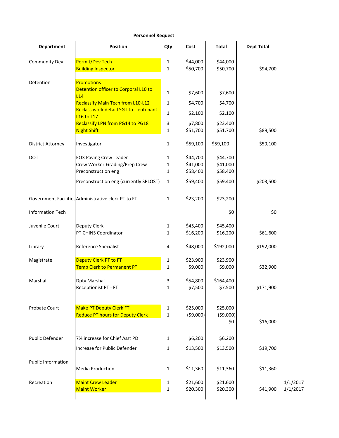| <b>Department</b>         | <b>Position</b>                                                           | Qty               | Cost                   | <b>Total</b>                  | <b>Dept Total</b> |                      |
|---------------------------|---------------------------------------------------------------------------|-------------------|------------------------|-------------------------------|-------------------|----------------------|
| <b>Community Dev</b>      | Permit/Dev Tech<br><b>Building Inspector</b>                              | 1<br>$\mathbf{1}$ | \$44,000<br>\$50,700   | \$44,000<br>\$50,700          | \$94,700          |                      |
| Detention                 | <b>Promotions</b>                                                         |                   |                        |                               |                   |                      |
|                           | Detention officer to Corporal L10 to<br>L14                               | 1                 | \$7,600                | \$7,600                       |                   |                      |
|                           | <b>Reclassify Main Tech from L10-L12</b>                                  | 1                 | \$4,700                | \$4,700                       |                   |                      |
|                           | <b>Reclass work detaill SGT to Lieutenant</b><br><b>L16 to L17</b>        | 1                 | \$2,100                | \$2,100                       |                   |                      |
|                           | Reclassify LPN from PG14 to PG18<br><b>Night Shift</b>                    | 3<br>1            | \$7,800<br>\$51,700    | \$23,400<br>\$51,700          | \$89,500          |                      |
| <b>District Attorney</b>  | Investigator                                                              | 1                 | \$59,100               | \$59,100                      | \$59,100          |                      |
| <b>DOT</b>                | <b>EO3 Paving Crew Leader</b>                                             | 1                 | \$44,700               | \$44,700                      |                   |                      |
|                           | Crew Worker-Grading/Prep Crew<br>Preconstruction eng                      | 1<br>$\mathbf{1}$ | \$41,000<br>\$58,400   | \$41,000<br>\$58,400          |                   |                      |
|                           | Preconstruction eng (currently SPLOST)                                    | 1                 | \$59,400               | \$59,400                      | \$203,500         |                      |
|                           | Government Facilities Administrative clerk PT to FT                       | $\mathbf{1}$      | \$23,200               | \$23,200                      |                   |                      |
| <b>Information Tech</b>   |                                                                           |                   |                        | \$0                           | \$0               |                      |
| Juvenile Court            | Deputy Clerk                                                              | 1                 | \$45,400               | \$45,400                      |                   |                      |
|                           | PT CHINS Coordinator                                                      | 1                 | \$16,200               | \$16,200                      | \$61,600          |                      |
| Library                   | Reference Specialist                                                      | 4                 | \$48,000               | \$192,000                     | \$192,000         |                      |
| Magistrate                | Deputy Clerk PT to FT                                                     | 1                 | \$23,900               | \$23,900                      |                   |                      |
|                           | Temp Clerk to Permanent PT                                                | 1                 | \$9,000                | \$9,000                       | \$32,900          |                      |
| Marshal                   | Dpty Marshal<br>Receptionist PT - FT                                      | 3<br>ı.           | \$54,800<br>\$7,500    | \$164,400<br>\$7,500          | \$171,900         |                      |
| Probate Court             | <b>Make PT Deputy Clerk FT</b><br><b>Reduce PT hours for Deputy Clerk</b> | 1<br>$\mathbf{1}$ | \$25,000<br>( \$9,000) | \$25,000<br>( \$9,000)<br>\$0 | \$16,000          |                      |
| Public Defender           | 7% increase for Chief Asst PD                                             | 1                 | \$6,200                | \$6,200                       |                   |                      |
|                           | Increase for Public Defender                                              | 1                 | \$13,500               | \$13,500                      | \$19,700          |                      |
| <b>Public Information</b> | <b>Media Production</b>                                                   | $\mathbf 1$       | \$11,360               | \$11,360                      | \$11,360          |                      |
| Recreation                | <b>Maint Crew Leader</b><br><b>Maint Worker</b>                           | 1<br>1            | \$21,600<br>\$20,300   | \$21,600<br>\$20,300          | \$41,900          | 1/1/2017<br>1/1/2017 |
|                           |                                                                           |                   |                        |                               |                   |                      |

#### **Personnel Request**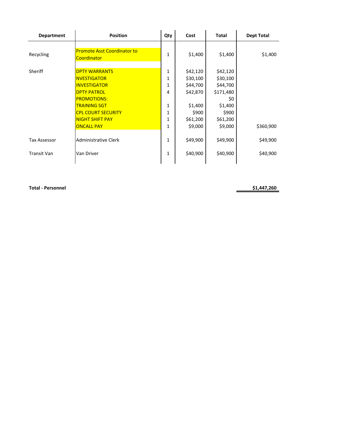| <b>Department</b>   | <b>Position</b>                                   | Qty          | Cost     | <b>Total</b> | <b>Dept Total</b> |
|---------------------|---------------------------------------------------|--------------|----------|--------------|-------------------|
| Recycling           | <b>Promote Asst Coordinator to</b><br>Coordinator | 1            | \$1,400  | \$1,400      | \$1,400           |
| Sheriff             | <b>DPTY WARRANTS</b>                              | 1            | \$42,120 | \$42,120     |                   |
|                     | <b>NVESTIGATOR</b>                                | 1            | \$30,100 | \$30,100     |                   |
|                     | <b>INVESTIGATOR</b>                               | 1            | \$44,700 | \$44,700     |                   |
|                     | <b>DPTY PATROL</b>                                | 4            | \$42,870 | \$171,480    |                   |
|                     | <b>PROMOTIONS:</b>                                |              |          | \$0          |                   |
|                     | <b>TRAINING SGT</b>                               | 1            | \$1,400  | \$1,400      |                   |
|                     | <b>CPL COURT SECURITY</b>                         | $\mathbf{1}$ | \$900    | \$900        |                   |
|                     | <b>NIGHT SHIFT PAY</b>                            | 1            | \$61,200 | \$61,200     |                   |
|                     | <b>ONCALL PAY</b>                                 | 1            | \$9,000  | \$9,000      | \$360,900         |
| <b>Tax Assessor</b> | <b>Administrative Clerk</b>                       | 1            | \$49,900 | \$49,900     | \$49,900          |
| <b>Transit Van</b>  | Van Driver                                        | 1            | \$40,900 | \$40,900     | \$40,900          |
|                     |                                                   |              |          |              |                   |

**Total** - Personnel **\$1,447,260**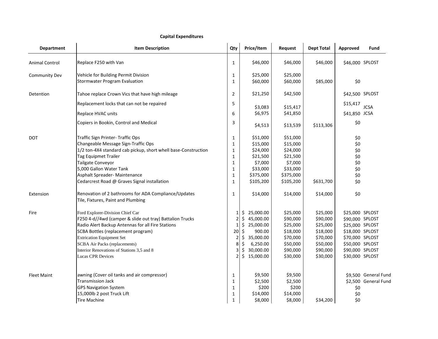#### **Capital Expenditures**

|                       | Capital Expenditures                                                                       |                          |                      |                      |                   |                 |                      |
|-----------------------|--------------------------------------------------------------------------------------------|--------------------------|----------------------|----------------------|-------------------|-----------------|----------------------|
| <b>Department</b>     | <b>Item Description</b>                                                                    | Qty                      | Price/Item           | Request              | <b>Dept Total</b> | Approved        | Fund                 |
| <b>Animal Control</b> | Replace F250 with Van                                                                      | $\mathbf{1}$             | \$46,000             | \$46,000             | \$46,000          | \$46,000 SPLOST |                      |
| <b>Community Dev</b>  | Vehicle for Building Permit Division<br><b>Stormwater Program Evaluation</b>               | 1<br>$\mathbf{1}$        | \$25,000<br>\$60,000 | \$25,000<br>\$60,000 | \$85,000          | \$0             |                      |
| Detention             | Tahoe replace Crown Vics that have high mileage                                            | $\overline{2}$           | \$21,250             | \$42,500             |                   | \$42,500 SPLOST |                      |
|                       | Replacement locks that can not be repaired                                                 | 5                        | \$3,083              | \$15,417             |                   | \$15,417        | <b>JCSA</b>          |
|                       | Replace HVAC units                                                                         | 6                        | \$6,975              | \$41,850             |                   | \$41,850 JCSA   |                      |
|                       | Copiers in Bookin, Control and Medical                                                     | 3                        | \$4,513              | \$13,539             | \$113,306         | \$0             |                      |
| <b>DOT</b>            | Traffic Sign Printer- Traffic Ops                                                          | $\mathbf 1$              | \$51,000             | \$51,000             |                   | \$0             |                      |
|                       | Changeable Message Sign-Traffic Ops                                                        | 1                        | \$15,000             | \$15,000             |                   | \$0             |                      |
|                       | 1/2 ton-4X4 standard cab pickup, short whell base-Construction                             | $\mathbf{1}$             | \$24,000             | \$24,000             |                   | \$0             |                      |
|                       | Tag Equipmet Trailer                                                                       | $\mathbf{1}$             | \$21,500             | \$21,500             |                   | \$0             |                      |
|                       | Tailgate Conveyor                                                                          | $1\,$                    | \$7,000              | \$7,000              |                   | \$0             |                      |
|                       | 5,000 Gallon Water Tank                                                                    | 1                        | \$33,000             | \$33,000             |                   | \$0             |                      |
|                       | Asphalt Spreader- Maintenance                                                              | $\mathbf{1}$             | \$375,000            | \$375,000            |                   | \$0             |                      |
|                       | Cedarcrest Road @ Graves Signal installation                                               | $\mathbf{1}$             | \$105,200            | \$105,200            | \$631,700         | \$0             |                      |
| Extension             | Renovation of 2 bathrooms for ADA Compliance/Updates<br>Tile, Fixtures, Paint and Plumbing | $\mathbf{1}$             | \$14,000             | \$14,000             | \$14,000          | \$0             |                      |
| Fire                  | Ford Explorer-Division Chief Car                                                           | 1                        | 25,000.00<br>\$.     | \$25,000             | \$25,000          | \$25,000 SPLOST |                      |
|                       | F250 4-d//4wd (camper & slide out tray) Battalion Trucks                                   | $\overline{2}$           | \$<br>45,000.00      | \$90,000             | \$90,000          | \$90,000 SPLOST |                      |
|                       | Radio Alert Backup Antennas for all Fire Stations                                          | 1                        | 25,000.00<br>\$      | \$25,000             | \$25,000          | \$25,000 SPLOST |                      |
|                       | <b>SCBA Bottles (replacement program)</b>                                                  | 20                       | \$<br>900.00         | \$18,000             | \$18,000          | \$18,000 SPLOST |                      |
|                       | <b>Extrication Equipment Set</b>                                                           | $\overline{2}$           | 35,000.00<br>\$      | \$70,000             | \$70,000          | \$70,000 SPLOST |                      |
|                       | <b>SCBA Air Packs (replacements)</b>                                                       | 8                        | \$<br>6,250.00       | \$50,000             | \$50,000          | \$50,000 SPLOST |                      |
|                       | Interior Renovations of Stations 3,5 and 8                                                 | 3                        | 30,000.00<br>\$      | \$90,000             | \$90,000          | \$90,000 SPLOST |                      |
|                       | <b>Lucas CPR Devices</b>                                                                   | $\overline{\phantom{a}}$ | \$15,000.00          | \$30,000             | \$30,000          | \$30,000 SPLOST |                      |
| <b>Fleet Maint</b>    | awning (Cover oil tanks and air compressor)                                                | 1                        | \$9,500              | \$9,500              |                   |                 | \$9,500 General Fund |
|                       | <b>Transmission Jack</b>                                                                   | $\mathbf{1}$             | \$2,500              | \$2,500              |                   |                 | \$2,500 General Fund |
|                       | <b>GPS Navigation System</b>                                                               | $\mathbf{1}$             | \$200                | \$200                |                   | \$0             |                      |
|                       | 15,000lb 2 post Truck Lift                                                                 | $\mathbf{1}$             | \$14,000             | \$14,000             |                   | \$0             |                      |
|                       | <b>Tire Machine</b>                                                                        | 1                        | \$8,000              | \$8,000              | \$34,200          | \$0             |                      |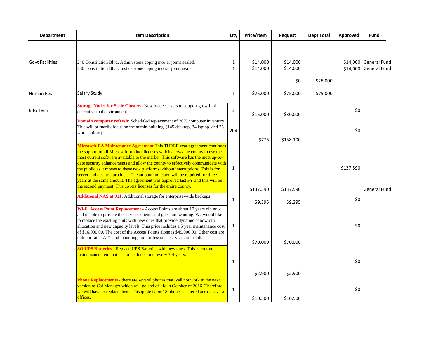| <b>Department</b>      | <b>Item Description</b>                                                                                                                                                                                                                                                                                                                                                                                                                                                                                                                                                                                                                                   | Qty                          | Price/Item           | Request                     | <b>Dept Total</b> | Approved  | Fund                                           |
|------------------------|-----------------------------------------------------------------------------------------------------------------------------------------------------------------------------------------------------------------------------------------------------------------------------------------------------------------------------------------------------------------------------------------------------------------------------------------------------------------------------------------------------------------------------------------------------------------------------------------------------------------------------------------------------------|------------------------------|----------------------|-----------------------------|-------------------|-----------|------------------------------------------------|
| <b>Govt Facilities</b> | 240 Constitution Blvd. Admin stone coping mortar joints sealed.<br>280 Constitution Blvd. Justice stone coping mortar joints sealed                                                                                                                                                                                                                                                                                                                                                                                                                                                                                                                       | $\mathbf{1}$<br>$\mathbf{1}$ | \$14,000<br>\$14,000 | \$14,000<br>\$14,000<br>\$0 | \$28,000          |           | \$14,000 General Fund<br>\$14,000 General Fund |
| <b>Human Res</b>       | Salary Study                                                                                                                                                                                                                                                                                                                                                                                                                                                                                                                                                                                                                                              | $\mathbf{1}$                 | \$75,000             | \$75,000                    | \$75,000          |           |                                                |
| Info Tech              | Storage Nodes for Scale Clusters: New blade servers to support growth of<br>current virtual environment.<br><b>Domain computer refresh:</b> Scheduled replacement of 20% computer inventory.                                                                                                                                                                                                                                                                                                                                                                                                                                                              | $\overline{2}$               | \$15,000             | \$30,000                    |                   | \$0       |                                                |
|                        | This will primarily focus on the admin building. (145 desktop, 34 laptop, and 25<br>workstations)                                                                                                                                                                                                                                                                                                                                                                                                                                                                                                                                                         | 204                          | \$775                | \$158,100                   |                   | \$0       |                                                |
|                        | Microsoft EA Maintenance Agreement This THREE year agreement continues<br>the support of all Microsoft product licenses which allows the county to use the<br>most current software available to the market. This software has the most up-to-<br>date security enhancements and allow the county to effectively communicate with<br>the public as it moves to these new platforms without interruptions. This is for<br>server and desktop products. The amount indicated will be required for three<br>years at the same amount. The agreement was approved last FY and this will be<br>the second payment. This covers licenses for the entire county. | $\mathbf{1}$                 |                      |                             |                   | \$137,590 |                                                |
|                        | Additional NAS at 911: Additional storage for enterprise-wide backups                                                                                                                                                                                                                                                                                                                                                                                                                                                                                                                                                                                     | $\mathbf{1}$                 | \$137,590<br>\$9,395 | \$137,590<br>\$9,395        |                   | \$0       | <b>General Fund</b>                            |
|                        | Wi-Fi Access Point Replacement - Access Points are about 10 years old now<br>and unable to provide the services clients and guest are wanting. We would like<br>to replace the existing units with new ones that provide dynamic bandwidth<br>allocation and new capacity levels. This price includes a 5 year maintenance cost<br>of \$16.000.00. The cost of the Access Points alone is \$49,000.00. Other cost are<br>outdoor rated AP's and mounting and professional services to install.                                                                                                                                                            | 1                            | \$70,000             | \$70,000                    |                   | \$0       |                                                |
|                        | SO UPS Batteries - Replace UPS Batteries with new ones. This is routine<br>maintenance item that has to be done about every 3-4 years.                                                                                                                                                                                                                                                                                                                                                                                                                                                                                                                    | $\mathbf{1}$                 |                      |                             |                   | \$0       |                                                |
|                        | Phone Replacements - there are several phones that wall not work in the next                                                                                                                                                                                                                                                                                                                                                                                                                                                                                                                                                                              |                              | \$2,900              | \$2,900                     |                   |           |                                                |
|                        | version of Cal Manager which will go end of life in October of 2016. Therefore,<br>we will have to replace them. This quote is for 18 phones scattered across several<br>offices.                                                                                                                                                                                                                                                                                                                                                                                                                                                                         | 1                            | \$10,500             | \$10,500                    |                   | \$0       |                                                |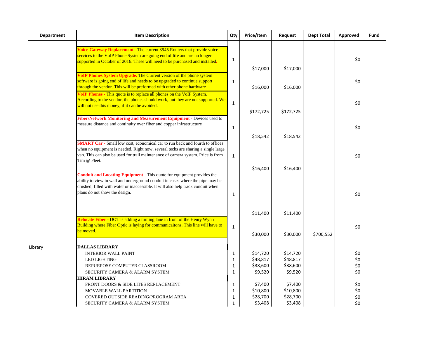| <b>Department</b> | <b>Item Description</b>                                                                                                                                                                                                                                                       | Qty                          | Price/Item           | Request              | <b>Dept Total</b> | Approved   | Fund |
|-------------------|-------------------------------------------------------------------------------------------------------------------------------------------------------------------------------------------------------------------------------------------------------------------------------|------------------------------|----------------------|----------------------|-------------------|------------|------|
|                   | Voice Gateway Replacement - The current 3945 Routers that provide voice<br>services to the VoIP Phone System are going end of life and are no longer<br>supported in October of 2016. These will need to be purchased and installed.                                          | $\mathbf{1}$                 | \$17,000             | \$17,000             |                   | \$0        |      |
|                   | VoIP Phones System Upgrade. The Current version of the phone system<br>software is going end of life and needs to be upgraded to continue support<br>through the vendor. This will be preformed with other phone hardware                                                     | $\mathbf{1}$                 | \$16,000             | \$16,000             |                   | \$0        |      |
|                   | VoIP Phones - This quote is to replace all phones on the VoIP System.<br>According to the vendor, the phones should work, but they are not supported. We<br>will not use this money, if it can be avoided.                                                                    | $\mathbf{1}$                 |                      |                      |                   | \$0        |      |
|                   | Fiber/Network Monitoring and Measurement Equipment - Devices used to<br>measure distance and continuity over fiber and copper infrastructure                                                                                                                                  | $\mathbf{1}$                 | \$172,725            | \$172,725            |                   | \$0        |      |
|                   | <b>SMART Car</b> - Small low cost, economical car to run back and fourth to offices<br>when no equipment is needed. Right now, several techs are sharing a single large                                                                                                       |                              | \$18,542             | \$18,542             |                   |            |      |
|                   | van. This can also be used for trail maintenance of camera system. Price is from<br>Tim @ Fleet.                                                                                                                                                                              | $\mathbf{1}$                 | \$16,400             | \$16,400             |                   | \$0        |      |
|                   | Conduit and Locating Equipment - This quote for equipment provides the<br>ability to view in wall and underground conduit in cases where the pipe may be<br>crushed, filled with water or inaccessible. It will also help track conduit when<br>plans do not show the design. | 1                            |                      |                      |                   | \$0        |      |
|                   | Relocate Fiber - DOT is adding a turning lane in front of the Henry Wynn                                                                                                                                                                                                      |                              | \$11,400             | \$11,400             |                   |            |      |
|                   | Building where Fiber Optic is laying for communicaitons. This line will have to<br>be moved.                                                                                                                                                                                  | $\mathbf{1}$                 | \$30,000             | \$30,000             | \$700,552         | \$0        |      |
| Library           | <b>DALLAS LIBRARY</b><br><b>INTERIOR WALL PAINT</b>                                                                                                                                                                                                                           | 1                            | \$14,720             | \$14,720             |                   | \$0        |      |
|                   | <b>LED LIGHTING</b><br>REPURPOSE COMPUTER CLASSROOM                                                                                                                                                                                                                           | $\mathbf{1}$<br>$\mathbf{1}$ | \$48,817<br>\$38,600 | \$48,817<br>\$38,600 |                   | \$0<br>\$0 |      |
|                   | SECURITY CAMERA & ALARM SYSTEM                                                                                                                                                                                                                                                | 1                            | \$9,520              | \$9,520              |                   | \$0        |      |
|                   | <b>HIRAM LIBRARY</b><br>FRONT DOORS & SIDE LITES REPLACEMENT                                                                                                                                                                                                                  | 1                            | \$7,400              | \$7,400              |                   | \$0        |      |
|                   | <b>MOVABLE WALL PARTITION</b>                                                                                                                                                                                                                                                 | $\mathbf{1}$                 | \$10,800             | \$10,800             |                   | \$0        |      |
|                   | COVERED OUTSIDE READING/PROGRAM AREA                                                                                                                                                                                                                                          | $\mathbf{1}$                 | \$28,700             | \$28,700             |                   | \$0        |      |
|                   | SECURITY CAMERA & ALARM SYSTEM                                                                                                                                                                                                                                                | $\mathbf{1}$                 | \$3,408              | \$3,408              |                   | \$0        |      |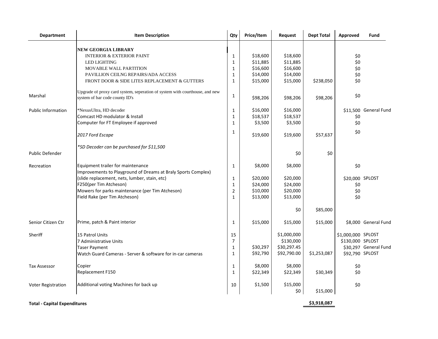| <b>Department</b>         | <b>Item Description</b>                                                                                       | Qty            | Price/Item | Request         | <b>Dept Total</b> | Approved           | Fund                  |
|---------------------------|---------------------------------------------------------------------------------------------------------------|----------------|------------|-----------------|-------------------|--------------------|-----------------------|
|                           | <b>NEW GEORGIA LIBRARY</b>                                                                                    |                |            |                 |                   |                    |                       |
|                           | <b>INTERIOR &amp; EXTERIOR PAINT</b>                                                                          | $\mathbf{1}$   | \$18,600   | \$18,600        |                   | \$0                |                       |
|                           | <b>LED LIGHTING</b>                                                                                           | 1              | \$11,885   | \$11,885        |                   | \$0                |                       |
|                           | MOVABLE WALL PARTITION                                                                                        | 1              | \$16,600   | \$16,600        |                   | \$0                |                       |
|                           | PAVILLION CEILNG REPAIRS/ADA ACCESS                                                                           | 1              | \$14,000   | \$14,000        |                   | \$0                |                       |
|                           | FRONT DOOR & SIDE LITES REPLACEMENT & GUTTERS                                                                 | $\mathbf{1}$   | \$15,000   | \$15,000        | \$238,050         | \$0                |                       |
| Marshal                   | Upgrade of proxy card system, seperation of system with courthouse, and new<br>system of bar code county ID's | $\mathbf{1}$   | \$98,206   | \$98,206        | \$98,206          | \$0                |                       |
| <b>Public Information</b> | *NexusUltra, HD decoder                                                                                       | 1              | \$16,000   | \$16,000        |                   |                    | \$11,500 General Fund |
|                           | Comcast HD modulator & Install                                                                                | $\mathbf{1}$   | \$18,537   | \$18,537        |                   | \$0                |                       |
|                           | Computer for FT Employee if approved                                                                          | $\mathbf{1}$   | \$3,500    | \$3,500         |                   | \$0                |                       |
|                           | 2017 Ford Escape                                                                                              | 1              | \$19,600   | \$19,600        | \$57,637          | \$0                |                       |
|                           | *SD Decoder can be purchased for \$11,500                                                                     |                |            |                 |                   |                    |                       |
| <b>Public Defender</b>    |                                                                                                               |                |            | \$0             | \$0               |                    |                       |
| Recreation                | Equipment trailer for maintenance<br>Improvements to Playground of Dreams at Braly Sports Complex)            | 1              | \$8,000    | \$8,000         |                   | \$0                |                       |
|                           | (slide replacement, nets, lumber, stain, etc)                                                                 | 1              | \$20,000   | \$20,000        |                   | \$20,000 SPLOST    |                       |
|                           | F250(per Tim Atcheson)                                                                                        | $\mathbf{1}$   | \$24,000   | \$24,000        |                   | \$0                |                       |
|                           | Mowers for parks maintenance (per Tim Atcheson)                                                               | $\overline{2}$ | \$10,000   | \$20,000        |                   | \$0                |                       |
|                           | Field Rake (per Tim Atcheson)                                                                                 | $\mathbf{1}$   | \$13,000   | \$13,000        |                   | \$0                |                       |
|                           |                                                                                                               |                |            | \$0             | \$85,000          |                    |                       |
| Senior Citizen Ctr        | Prime, patch & Paint interior                                                                                 | 1              | \$15,000   | \$15,000        | \$15,000          |                    | \$8,000 General Fund  |
| Sheriff                   | 15 Patrol Units                                                                                               | 15             |            | \$1,000,000     |                   | \$1,000,000 SPLOST |                       |
|                           | 7 Administrative Units                                                                                        | 7              |            | \$130,000       |                   | \$130,000 SPLOST   |                       |
|                           | <b>Taser Payment</b>                                                                                          | 1              | \$30,297   | \$30,297.45     |                   |                    | \$30,297 General Fund |
|                           | Watch Guard Cameras - Server & software for in-car cameras                                                    | $\mathbf{1}$   | \$92,790   | \$92,790.00     | \$1,253,087       | \$92,790 SPLOST    |                       |
| <b>Tax Assessor</b>       | Copier                                                                                                        | 1              | \$8,000    | \$8,000         |                   | \$0                |                       |
|                           | Replacement F150                                                                                              | $\mathbf{1}$   | \$22,349   | \$22,349        | \$30,349          | \$0                |                       |
| <b>Voter Registration</b> | Additional voting Machines for back up                                                                        | 10             | \$1,500    | \$15,000<br>\$0 | \$15,000          | \$0                |                       |

**Community Community Community Community Community Community Community Community Community Community Community Community Community Community Community Community Community Community Community Community Community Community C**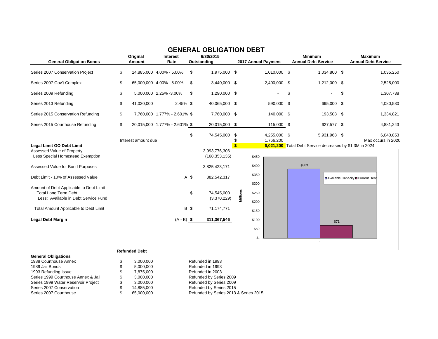| Original<br><b>General Obligation Bonds</b><br>Amount                                                          |    |                      | Interest<br>Rate              | 6/30/2015<br>Outstanding |                                  |              | 2017 Annual Payment        | <b>Minimum</b><br><b>Annual Debt Service</b> |                                                          |    | <b>Maximum</b><br><b>Annual Debt Service</b> |  |
|----------------------------------------------------------------------------------------------------------------|----|----------------------|-------------------------------|--------------------------|----------------------------------|--------------|----------------------------|----------------------------------------------|----------------------------------------------------------|----|----------------------------------------------|--|
| Series 2007 Conservation Project                                                                               | \$ |                      | 14,885,000 4.00% - 5.00%      | \$                       | 1,975,000 \$                     |              | 1,010,000 \$               |                                              | 1,034,800 \$                                             |    | 1,035,250                                    |  |
| Series 2007 Gov't Complex                                                                                      | \$ |                      | 65,000,000 4.00% - 5.00%      | -\$                      | 3,440,000 \$                     |              | 2,400,000 \$               |                                              | 1,212,000 \$                                             |    | 2,525,000                                    |  |
| Series 2009 Refunding                                                                                          | \$ |                      | 5,000,000 2.25% -3.00%        | \$                       | 1,290,000 \$                     |              |                            | \$                                           | ٠                                                        | \$ | 1,307,738                                    |  |
| Series 2013 Refunding                                                                                          | \$ | 41,030,000           | 2.45% \$                      |                          | 40,065,000 \$                    |              | 590,000 \$                 |                                              | 695,000 \$                                               |    | 4,080,530                                    |  |
| Series 2015 Conservation Refunding                                                                             | \$ |                      | 7,760,000 1.777% - 2.601% \$  |                          | 7,760,000 \$                     |              | 140,000 \$                 |                                              | 193,508 \$                                               |    | 1,334,821                                    |  |
| Series 2015 Courthouse Refunding                                                                               | \$ |                      | 20,015,000 1.777% - 2.601% \$ |                          | 20,015,000 \$                    |              | 115,000 \$                 |                                              | 627,577 \$                                               |    | 4,881,243                                    |  |
|                                                                                                                |    | Interest amount due  |                               | \$                       | 74,545,000                       | \$<br>\$     | 4,255,000 \$<br>1,766,200  |                                              | 5,931,968 \$                                             |    | 6,040,853<br>Max occurs in 2020              |  |
| Legal Limit GO Debt Limit<br>Assessed Value of Property<br>Less Special Homestead Exemption                    |    |                      |                               |                          | 3,993,776,306<br>(168, 353, 135) | $\mathbf{s}$ | \$450                      |                                              | 6,021,200 Total Debt Service decreases by \$1.3M in 2024 |    |                                              |  |
| Assessed Value for Bond Purposes                                                                               |    |                      |                               |                          | 3,825,423,171                    |              | \$400                      |                                              | \$383                                                    |    |                                              |  |
| Debt Limit - 10% of Assessed Value                                                                             |    |                      |                               | A \$                     | 382,542,317                      |              | \$350<br>\$300             |                                              |                                                          |    | ■Available Capacity ■Current Debt            |  |
| Amount of Debt Applicable to Debt Limit<br><b>Total Long Term Debt</b><br>Less: Available in Debt Service Fund |    |                      |                               | \$                       | 74,545,000<br>(3,370,229)        |              | Millions<br>\$250<br>\$200 |                                              |                                                          |    |                                              |  |
| Total Amount Applicable to Debt Limit                                                                          |    |                      |                               | <b>B</b> \$              | 71,174,771                       |              | \$150                      |                                              |                                                          |    |                                              |  |
| <b>Legal Debt Margin</b>                                                                                       |    |                      | $(A - B)$ \$                  |                          | 311,367,546                      |              | \$100                      |                                              | \$71                                                     |    |                                              |  |
|                                                                                                                |    |                      |                               |                          |                                  |              | \$50                       |                                              |                                                          |    |                                              |  |
|                                                                                                                |    |                      |                               |                          |                                  |              | \$-                        |                                              | $\mathbf{1}$                                             |    |                                              |  |
|                                                                                                                |    | <b>Refunded Debt</b> |                               |                          |                                  |              |                            |                                              |                                                          |    |                                              |  |

## **GENERAL OBLIGATION DEBT**

| <b>General Obligations</b>          |   |            |                                       |
|-------------------------------------|---|------------|---------------------------------------|
| 1988 Courthouse Annex               |   | 3.000.000  | Refunded in 1993                      |
| 1989 Jail Bonds                     | S | 5,000,000  | Refunded in 1993                      |
| 1993 Refunding Issue                | S | 7.875.000  | Refunded in 2003                      |
| Series 1999 Courthouse Annex & Jail | S | 3.000.000  | Refunded by Series 2009               |
| Series 1999 Water Reservoir Project |   | 3,000,000  | Refunded by Series 2009               |
| Series 2007 Conservation            |   | 14,885,000 | Refunded by Series 2015               |
| Series 2007 Courthouse              |   | 65,000,000 | Refunded by Series 2013 & Series 2015 |